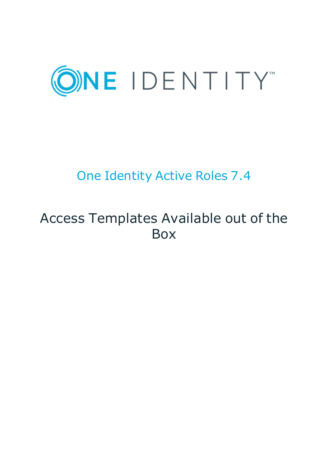

# One Identity Active Roles 7.4

# Access Templates Available out of the Box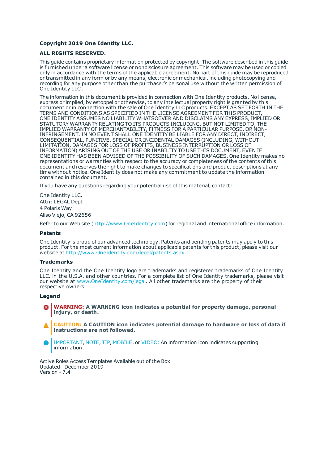#### **Copyright 2019 One Identity LLC.**

#### **ALL RIGHTS RESERVED.**

This guide contains proprietary information protected by copyright. The software described in this guide is furnished under a software license or nondisclosure agreement. This software may be used or copied only in accordance with the terms of the applicable agreement. No part of this guide may be reproduced or transmitted in any form or by any means, electronic or mechanical, including photocopying and recording for any purpose other than the purchaser's personal use without the written permission of One Identity LLC .

The information in this document is provided in connection with One Identity products. No license, express or implied, by estoppel or otherwise, to any intellectual property right is granted by this document or in connection with the sale of One Identity LLC products. EXCEPT AS SET FORTH IN THE TERMS AND CONDITIONS AS SPECIFIED IN THE LICENSE AGREEMENT FOR THIS PRODUCT, ONE IDENTITY ASSUMES NO LIABILITY WHATSOEVER AND DISCLAIMS ANY EXPRESS, IMPLIED OR STATUTORY WARRANTY RELATING TO ITS PRODUCTS INCLUDING, BUT NOT LIMITED TO, THE IMPLIED WARRANTY OF MERCHANTABILITY, FITNESS FOR A PARTICULAR PURPOSE, OR NON-INFRINGEMENT. IN NO EVENT SHALL ONE IDENTITY BE LIABLE FOR ANY DIRECT, INDIRECT, CONSEQUENTIAL, PUNITIVE, SPECIAL OR INCIDENTAL DAMAGES (INCLUDING, WITHOUT LIMITATION, DAMAGES FOR LOSS OF PROFITS, BUSINESS INTERRUPTION OR LOSS OF INFORMATION) ARISING OUT OF THE USE OR INABILITY TO USE THIS DOCUMENT, EVEN IF ONE IDENTITY HAS BEEN ADVISED OF THE POSSIBILITY OF SUCH DAMAGES. One Identity makes no representations or warranties with respect to the accuracy or completeness of the contents of this document and reserves the right to make changes to specifications and product descriptions at any time without notice. One Identity does not make any commitment to update the information contained in this document.

If you have any questions regarding your potential use of this material, contact:

One Identity LLC. Attn: LEGAL Dept 4 Polaris Way Aliso Viejo, CA 92656

Refer to our Web site ([http://www.OneIdentity.com](http://www.oneidentity.com/)) for regional and international office information.

#### **Patents**

One Identity is proud of our advanced technology. Patents and pending patents may apply to this product. For the most current information about applicable patents for this product, please visit our website at [http://www.OneIdentity.com/legal/patents.aspx](http://www.oneidentity.com/legal/patents.aspx).

#### **Trademarks**

One Identity and the One Identity logo are trademarks and registered trademarks of One Identity LLC. in the U.S.A. and other countries. For a complete list of One Identity trademarks, please visit our website at [www.OneIdentity.com/legal](http://www.oneidentity.com/legal). All other trademarks are the property of their respective owners.

#### **Legend**

- **WARNING: A WARNING icon indicates a potential for property damage, personal injury, or death.**
- **CAUTION: A CAUTION icon indicates potential damage to hardware or loss of data if instructions are not followed.**
- IMPORTANT, NOTE, TIP, MOBILE, or VIDEO: An information icon indicates supporting Œ information.

Active Roles Access Templates Available out of the Box Updated - December 2019 Version - 7.4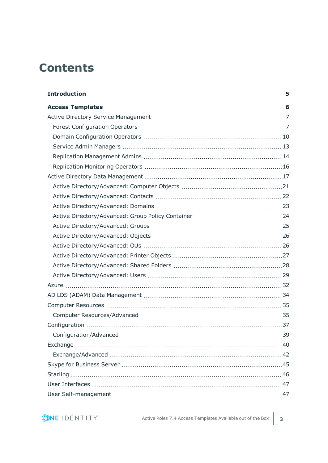## **Contents**

| Configuration/Advanced | 39 |
|------------------------|----|
|                        |    |
|                        |    |
|                        |    |
|                        |    |
|                        |    |
|                        |    |

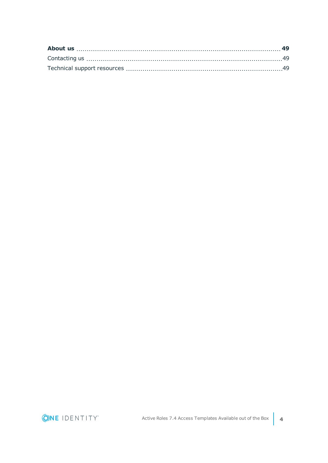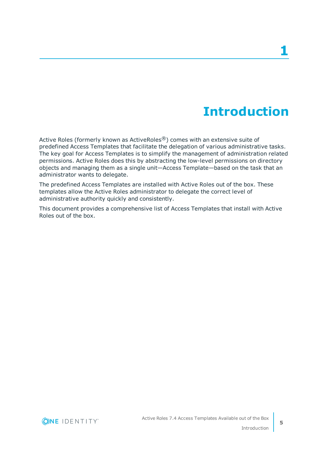# **Introduction**

<span id="page-4-0"></span>Active Roles (formerly known as ActiveRoles®) comes with an extensive suite of predefined Access Templates that facilitate the delegation of various administrative tasks. The key goal for Access Templates is to simplify the management of administration related permissions. Active Roles does this by abstracting the low-level permissions on directory objects and managing them as a single unit—Access Template—based on the task that an administrator wants to delegate.

The predefined Access Templates are installed with Active Roles out of the box. These templates allow the Active Roles administrator to delegate the correct level of administrative authority quickly and consistently.

This document provides a comprehensive list of Access Templates that install with Active Roles out of the box.

**ONE IDENTITY**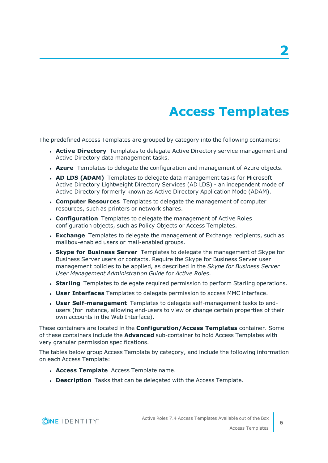# **Access Templates**

<span id="page-5-0"></span>The predefined Access Templates are grouped by category into the following containers:

- **Active Directory** Templates to delegate Active Directory service management and Active Directory data management tasks.
- **Azure** Templates to delegate the configuration and management of Azure objects.
- <sup>l</sup> **AD LDS (ADAM)** Templates to delegate data management tasks for Microsoft Active Directory Lightweight Directory Services (AD LDS) - an independent mode of Active Directory formerly known as Active Directory Application Mode (ADAM).
- <sup>l</sup> **Computer Resources** Templates to delegate the management of computer resources, such as printers or network shares.
- **. Configuration** Templates to delegate the management of Active Roles configuration objects, such as Policy Objects or Access Templates.
- **Exchange** Templates to delegate the management of Exchange recipients, such as mailbox-enabled users or mail-enabled groups.
- **. Skype for Business Server** Templates to delegate the management of Skype for Business Server users or contacts. Require the Skype for Business Server user management policies to be applied, as described in the *Skype for Business Server User Management Administration Guide* for *Active Roles*.
- **. Starling** Templates to delegate required permission to perform Starling operations.
- <sup>l</sup> **User Interfaces** Templates to delegate permission to access MMC interface.
- **. User Self-management** Templates to delegate self-management tasks to endusers (for instance, allowing end-users to view or change certain properties of their own accounts in the Web Interface).

These containers are located in the **Configuration/Access Templates** container. Some of these containers include the **Advanced** sub-container to hold Access Templates with very granular permission specifications.

The tables below group Access Template by category, and include the following information on each Access Template:

- **Access Template** Access Template name.
- **. Description** Tasks that can be delegated with the Access Template.

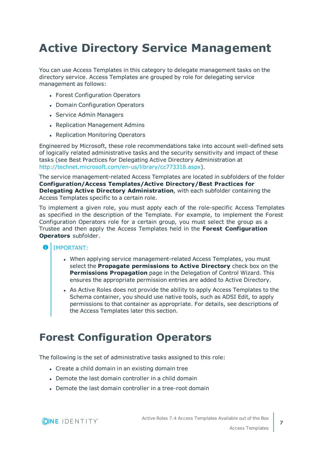## <span id="page-6-0"></span>**Active Directory Service Management**

You can use Access Templates in this category to delegate management tasks on the directory service. Access Templates are grouped by role for delegating service management as follows:

- Forest Configuration Operators
- Domain Configuration Operators
- Service Admin Managers
- Replication Management Admins
- Replication Monitoring Operators

Engineered by Microsoft, these role recommendations take into account well-defined sets of logically related administrative tasks and the security sensitivity and impact of these tasks (see Best Practices for Delegating Active Directory Administration at <http://technet.microsoft.com/en-us/library/cc773318.aspx>).

The service management-related Access Templates are located in subfolders of the folder **Configuration/Access Templates/Active Directory/Best Practices for Delegating Active Directory Administration**, with each subfolder containing the Access Templates specific to a certain role.

To implement a given role, you must apply each of the role-specific Access Templates as specified in the description of the Template. For example, to implement the Forest Configuration Operators role for a certain group, you must select the group as a Trustee and then apply the Access Templates held in the **Forest Configuration Operators** subfolder.

#### A IMPORTANT:

- When applying service management-related Access Templates, you must select the **Propagate permissions to Active Directory** check box on the **Permissions Propagation** page in the Delegation of Control Wizard. This ensures the appropriate permission entries are added to Active Directory.
- As Active Roles does not provide the ability to apply Access Templates to the Schema container, you should use native tools, such as ADSI Edit, to apply permissions to that container as appropriate. For details, see descriptions of the Access Templates later this section.

### <span id="page-6-1"></span>**Forest Configuration Operators**

The following is the set of administrative tasks assigned to this role:

- Create a child domain in an existing domain tree
- $\bullet$  Demote the last domain controller in a child domain
- Demote the last domain controller in a tree-root domain

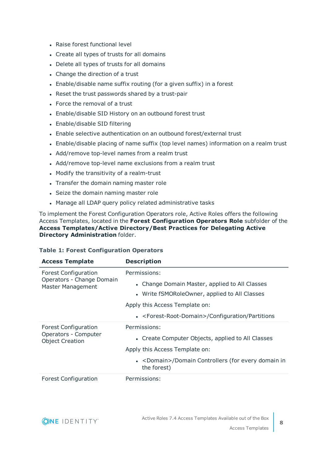- Raise forest functional level
- Create all types of trusts for all domains
- Delete all types of trusts for all domains
- Change the direction of a trust
- Enable/disable name suffix routing (for a given suffix) in a forest
- Reset the trust passwords shared by a trust-pair
- Force the removal of a trust
- Enable/disable SID History on an outbound forest trust
- Enable/disable SID filtering
- Enable selective authentication on an outbound forest/external trust
- Enable/disable placing of name suffix (top level names) information on a realm trust
- Add/remove top-level names from a realm trust
- Add/remove top-level name exclusions from a realm trust
- Modify the transitivity of a realm-trust
- Transfer the domain naming master role
- Seize the domain naming master role
- Manage all LDAP query policy related administrative tasks

To implement the Forest Configuration Operators role, Active Roles offers the following Access Templates, located in the **Forest Configuration Operators Role** subfolder of the **Access Templates/Active Directory/Best Practices for Delegating Active Directory Administration** folder.

#### **Table 1: Forest Configuration Operators**

| <b>Access Template</b>                                                               | <b>Description</b>                                                   |
|--------------------------------------------------------------------------------------|----------------------------------------------------------------------|
| <b>Forest Configuration</b><br>Operators - Change Domain<br><b>Master Management</b> | Permissions:                                                         |
|                                                                                      | Change Domain Master, applied to All Classes<br>$\bullet$            |
|                                                                                      | • Write fSMORoleOwner, applied to All Classes                        |
|                                                                                      | Apply this Access Template on:                                       |
|                                                                                      | • <forest-root-domain>/Configuration/Partitions</forest-root-domain> |
| <b>Forest Configuration</b><br>Operators - Computer<br><b>Object Creation</b>        | Permissions:                                                         |
|                                                                                      | • Create Computer Objects, applied to All Classes                    |
|                                                                                      | Apply this Access Template on:                                       |
|                                                                                      | • < Domain>/Domain Controllers (for every domain in<br>the forest)   |
| <b>Forest Configuration</b>                                                          | Permissions:                                                         |

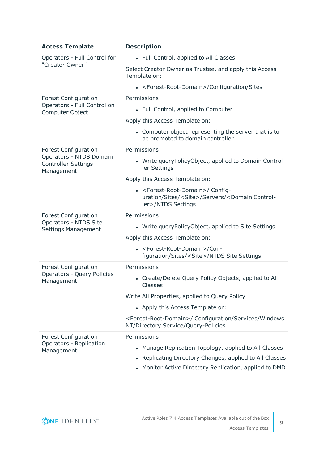| <b>Access Template</b>                                              | <b>Description</b>                                                                                                                                 |
|---------------------------------------------------------------------|----------------------------------------------------------------------------------------------------------------------------------------------------|
| Operators - Full Control for<br>"Creator Owner"                     | • Full Control, applied to All Classes                                                                                                             |
|                                                                     | Select Creator Owner as Trustee, and apply this Access<br>Template on:                                                                             |
|                                                                     | • <forest-root-domain>/Configuration/Sites</forest-root-domain>                                                                                    |
| <b>Forest Configuration</b>                                         | Permissions:                                                                                                                                       |
| Operators - Full Control on<br>Computer Object                      | • Full Control, applied to Computer                                                                                                                |
|                                                                     | Apply this Access Template on:                                                                                                                     |
|                                                                     | • Computer object representing the server that is to<br>be promoted to domain controller                                                           |
| <b>Forest Configuration</b>                                         | Permissions:                                                                                                                                       |
| Operators - NTDS Domain<br><b>Controller Settings</b><br>Management | • Write query Policy Object, applied to Domain Control-<br>ler Settings                                                                            |
|                                                                     | Apply this Access Template on:                                                                                                                     |
|                                                                     | - <forest-root-domain>/ Config-<br/>uration/Sites/<site>/Servers/<domain control-<br="">ler&gt;/NTDS Settings</domain></site></forest-root-domain> |
| <b>Forest Configuration</b>                                         | Permissions:                                                                                                                                       |
| Operators - NTDS Site<br>Settings Management                        | • Write queryPolicyObject, applied to Site Settings                                                                                                |
|                                                                     | Apply this Access Template on:                                                                                                                     |
|                                                                     | - <forest-root-domain>/Con-<br/>figuration/Sites/<site>/NTDS Site Settings</site></forest-root-domain>                                             |
| <b>Forest Configuration</b>                                         | Permissions:                                                                                                                                       |
| Operators - Query Policies<br>Management                            | • Create/Delete Query Policy Objects, applied to All<br>Classes                                                                                    |
|                                                                     | Write All Properties, applied to Query Policy                                                                                                      |
|                                                                     | • Apply this Access Template on:                                                                                                                   |
|                                                                     | <forest-root-domain>/ Configuration/Services/Windows<br/>NT/Directory Service/Query-Policies</forest-root-domain>                                  |
| <b>Forest Configuration</b>                                         | Permissions:                                                                                                                                       |
| Operators - Replication<br>Management                               | • Manage Replication Topology, applied to All Classes                                                                                              |
|                                                                     | • Replicating Directory Changes, applied to All Classes                                                                                            |
|                                                                     | Monitor Active Directory Replication, applied to DMD                                                                                               |

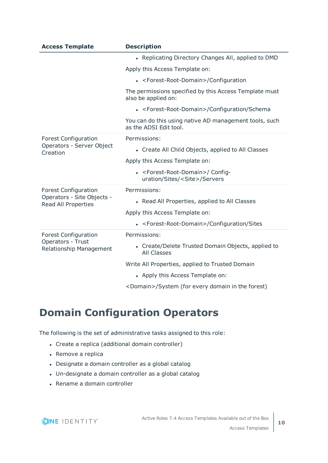| <b>Access Template</b>                                   | <b>Description</b>                                                                           |
|----------------------------------------------------------|----------------------------------------------------------------------------------------------|
|                                                          | • Replicating Directory Changes All, applied to DMD                                          |
|                                                          | Apply this Access Template on:                                                               |
|                                                          | • <forest-root-domain>/Configuration</forest-root-domain>                                    |
|                                                          | The permissions specified by this Access Template must<br>also be applied on:                |
|                                                          | • <forest-root-domain>/Configuration/Schema</forest-root-domain>                             |
|                                                          | You can do this using native AD management tools, such<br>as the ADSI Edit tool.             |
| <b>Forest Configuration</b>                              | Permissions:                                                                                 |
| Operators - Server Object<br>Creation                    | • Create All Child Objects, applied to All Classes                                           |
|                                                          | Apply this Access Template on:                                                               |
|                                                          | • <forest-root-domain>/ Config-<br/>uration/Sites/<site>/Servers</site></forest-root-domain> |
| <b>Forest Configuration</b>                              | Permissions:                                                                                 |
| Operators - Site Objects -<br><b>Read All Properties</b> | • Read All Properties, applied to All Classes                                                |
|                                                          | Apply this Access Template on:                                                               |
|                                                          | • <forest-root-domain>/Configuration/Sites</forest-root-domain>                              |
| <b>Forest Configuration</b>                              | Permissions:                                                                                 |
| Operators - Trust<br>Relationship Management             | • Create/Delete Trusted Domain Objects, applied to<br><b>All Classes</b>                     |
|                                                          | Write All Properties, applied to Trusted Domain                                              |
|                                                          | • Apply this Access Template on:                                                             |
|                                                          |                                                                                              |

<Domain>/System (for every domain in the forest)

### <span id="page-9-0"></span>**Domain Configuration Operators**

The following is the set of administrative tasks assigned to this role:

- Create a replica (additional domain controller)
- Remove a replica
- Designate a domain controller as a global catalog
- Un-designate a domain controller as a global catalog
- Rename a domain controller

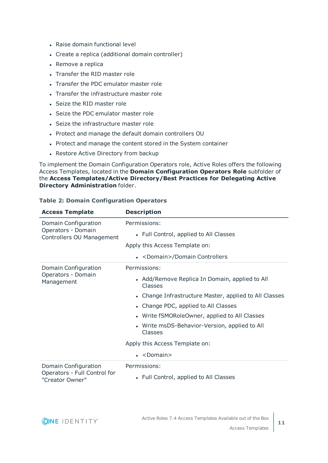- Raise domain functional level
- Create a replica (additional domain controller)
- Remove a replica
- Transfer the RID master role
- Transfer the PDC emulator master role
- Transfer the infrastructure master role
- Seize the RID master role
- Seize the PDC emulator master role
- Seize the infrastructure master role
- Protect and manage the default domain controllers OU
- Protect and manage the content stored in the System container
- Restore Active Directory from backup

To implement the Domain Configuration Operators role, Active Roles offers the following Access Templates, located in the **Domain Configuration Operators Role** subfolder of the **Access Templates/Active Directory/Best Practices for Delegating Active Directory Administration** folder.

| <b>Access Template</b>                                                  | <b>Description</b>                                        |
|-------------------------------------------------------------------------|-----------------------------------------------------------|
| Domain Configuration<br>Operators - Domain<br>Controllers OU Management | Permissions:                                              |
|                                                                         | • Full Control, applied to All Classes                    |
|                                                                         | Apply this Access Template on:                            |
|                                                                         | • <domain>/Domain Controllers</domain>                    |
| Domain Configuration                                                    | Permissions:                                              |
| Operators - Domain<br>Management                                        | • Add/Remove Replica In Domain, applied to All<br>Classes |
|                                                                         | • Change Infrastructure Master, applied to All Classes    |
|                                                                         | • Change PDC, applied to All Classes                      |
|                                                                         | • Write fSMORoleOwner, applied to All Classes             |
|                                                                         | • Write msDS-Behavior-Version, applied to All<br>Classes  |
|                                                                         | Apply this Access Template on:                            |
|                                                                         | $\bullet$ <domain></domain>                               |
| Domain Configuration<br>Operators - Full Control for<br>"Creator Owner" | Permissions:                                              |
|                                                                         | • Full Control, applied to All Classes                    |

#### **Table 2: Domain Configuration Operators**

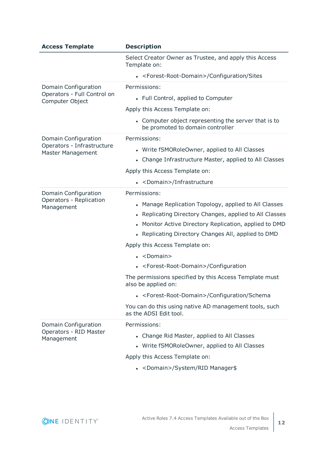| <b>Access Template</b>                                        | <b>Description</b>                                                                                                                                                                                                                                                                         |
|---------------------------------------------------------------|--------------------------------------------------------------------------------------------------------------------------------------------------------------------------------------------------------------------------------------------------------------------------------------------|
|                                                               | Select Creator Owner as Trustee, and apply this Access<br>Template on:                                                                                                                                                                                                                     |
|                                                               | • <forest-root-domain>/Configuration/Sites</forest-root-domain>                                                                                                                                                                                                                            |
| Domain Configuration                                          | Permissions:                                                                                                                                                                                                                                                                               |
| Operators - Full Control on<br>Computer Object                | • Full Control, applied to Computer                                                                                                                                                                                                                                                        |
|                                                               | Apply this Access Template on:                                                                                                                                                                                                                                                             |
|                                                               | • Computer object representing the server that is to<br>be promoted to domain controller                                                                                                                                                                                                   |
| Domain Configuration                                          | Permissions:                                                                                                                                                                                                                                                                               |
| Operators - Infrastructure<br>Master Management               | • Write fSMORoleOwner, applied to All Classes<br>• Change Infrastructure Master, applied to All Classes                                                                                                                                                                                    |
|                                                               | Apply this Access Template on:                                                                                                                                                                                                                                                             |
|                                                               | • <domain>/Infrastructure</domain>                                                                                                                                                                                                                                                         |
| Domain Configuration<br>Operators - Replication<br>Management | Permissions:                                                                                                                                                                                                                                                                               |
|                                                               | • Manage Replication Topology, applied to All Classes<br>• Replicating Directory Changes, applied to All Classes<br>• Monitor Active Directory Replication, applied to DMD<br>• Replicating Directory Changes All, applied to DMD<br>Apply this Access Template on:<br>• <domain></domain> |
|                                                               | • <forest-root-domain>/Configuration</forest-root-domain>                                                                                                                                                                                                                                  |
|                                                               | The permissions specified by this Access Template must<br>also be applied on:                                                                                                                                                                                                              |
|                                                               | • <forest-root-domain>/Configuration/Schema</forest-root-domain>                                                                                                                                                                                                                           |
|                                                               | You can do this using native AD management tools, such<br>as the ADSI Edit tool.                                                                                                                                                                                                           |
| Domain Configuration<br>Operators - RID Master<br>Management  | Permissions:                                                                                                                                                                                                                                                                               |
|                                                               | • Change Rid Master, applied to All Classes                                                                                                                                                                                                                                                |
|                                                               | • Write fSMORoleOwner, applied to All Classes                                                                                                                                                                                                                                              |
|                                                               | Apply this Access Template on:                                                                                                                                                                                                                                                             |
|                                                               | • <domain>/System/RID Manager\$</domain>                                                                                                                                                                                                                                                   |

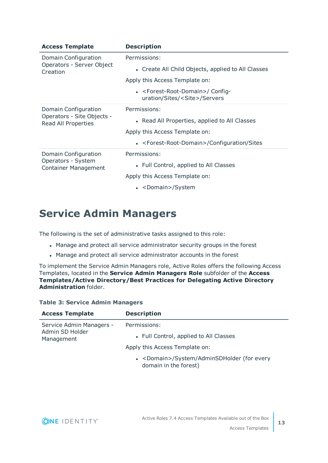| <b>Access Template</b>                                                    | <b>Description</b>                                                                           |
|---------------------------------------------------------------------------|----------------------------------------------------------------------------------------------|
| Domain Configuration<br>Operators - Server Object<br>Creation             | Permissions:                                                                                 |
|                                                                           | • Create All Child Objects, applied to All Classes                                           |
|                                                                           | Apply this Access Template on:                                                               |
|                                                                           | • <forest-root-domain>/ Config-<br/>uration/Sites/<site>/Servers</site></forest-root-domain> |
| Domain Configuration<br>Operators - Site Objects -<br>Read All Properties | Permissions:                                                                                 |
|                                                                           | • Read All Properties, applied to All Classes                                                |
|                                                                           | Apply this Access Template on:                                                               |
|                                                                           | • <forest-root-domain>/Configuration/Sites</forest-root-domain>                              |
| Domain Configuration<br>Operators - System<br><b>Container Management</b> | Permissions:                                                                                 |
|                                                                           | • Full Control, applied to All Classes                                                       |
|                                                                           | Apply this Access Template on:                                                               |
|                                                                           | • <domain>/System</domain>                                                                   |

### <span id="page-12-0"></span>**Service Admin Managers**

The following is the set of administrative tasks assigned to this role:

- Manage and protect all service administrator security groups in the forest
- Manage and protect all service administrator accounts in the forest

To implement the Service Admin Managers role, Active Roles offers the following Access Templates, located in the **Service Admin Managers Role** subfolder of the **Access Templates/Active Directory/Best Practices for Delegating Active Directory Administration** folder.

#### **Table 3: Service Admin Managers**

| <b>Access Template</b>                                    | <b>Description</b>                                                            |
|-----------------------------------------------------------|-------------------------------------------------------------------------------|
| Service Admin Managers -<br>Admin SD Holder<br>Management | Permissions:                                                                  |
|                                                           | • Full Control, applied to All Classes                                        |
|                                                           | Apply this Access Template on:                                                |
|                                                           | • <domain>/System/AdminSDHolder (for every<br/>domain in the forest)</domain> |

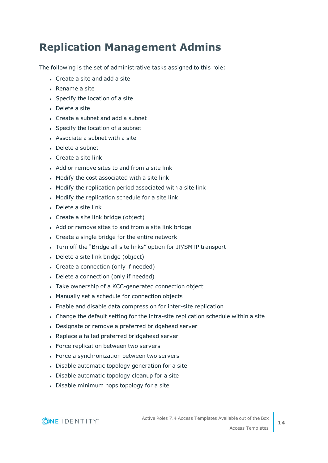### <span id="page-13-0"></span>**Replication Management Admins**

The following is the set of administrative tasks assigned to this role:

- Create a site and add a site
- $\cdot$  Rename a site
- Specify the location of a site
- Delete a site
- Create a subnet and add a subnet
- Specify the location of a subnet
- $\bullet$  Associate a subnet with a site
- $\bullet$  Delete a subnet
- $\cdot$  Create a site link
- Add or remove sites to and from a site link
- Modify the cost associated with a site link
- Modify the replication period associated with a site link
- Modify the replication schedule for a site link
- Delete a site link
- Create a site link bridge (object)
- Add or remove sites to and from a site link bridge
- Create a single bridge for the entire network
- Turn off the "Bridge all site links" option for IP/SMTP transport
- Delete a site link bridge (object)
- Create a connection (only if needed)
- Delete a connection (only if needed)
- Take ownership of a KCC-generated connection object
- Manually set a schedule for connection objects
- Enable and disable data compression for inter-site replication
- Change the default setting for the intra-site replication schedule within a site
- Designate or remove a preferred bridgehead server
- Replace a failed preferred bridgehead server
- Force replication between two servers
- Force a synchronization between two servers
- Disable automatic topology generation for a site
- Disable automatic topology cleanup for a site
- Disable minimum hops topology for a site

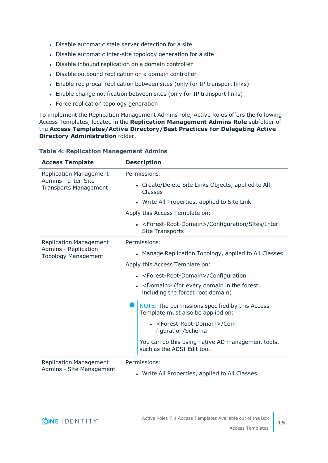- Disable automatic stale server detection for a site
- Disable automatic inter-site topology generation for a site
- Disable inbound replication on a domain controller
- Disable outbound replication on a domain controller
- Enable reciprocal replication between sites (only for IP transport links)
- Enable change notification between sites (only for IP transport links)
- Force replication topology generation

To implement the Replication Management Admins role, Active Roles offers the following Access Templates, located in the **Replication Management Admins Role** subfolder of the **Access Templates/Active Directory/Best Practices for Delegating Active Directory Administration** folder.

| <b>Access Template</b>                                                               | <b>Description</b>                                                                                |
|--------------------------------------------------------------------------------------|---------------------------------------------------------------------------------------------------|
| <b>Replication Management</b><br>Admins - Inter-Site<br><b>Transports Management</b> | Permissions:                                                                                      |
|                                                                                      | • Create/Delete Site Links Objects, applied to All<br>Classes                                     |
|                                                                                      | • Write All Properties, applied to Site Link                                                      |
|                                                                                      | Apply this Access Template on:                                                                    |
|                                                                                      | • <forest-root-domain>/Configuration/Sites/Inter-<br/><b>Site Transports</b></forest-root-domain> |
| <b>Replication Management</b><br>Admins - Replication<br><b>Topology Management</b>  | Permissions:                                                                                      |
|                                                                                      | • Manage Replication Topology, applied to All Classes                                             |
|                                                                                      | Apply this Access Template on:                                                                    |
|                                                                                      | • <forest-root-domain>/Configuration</forest-root-domain>                                         |
|                                                                                      | • < Domain > (for every domain in the forest,<br>including the forest root domain)                |
|                                                                                      | NOTE: The permissions specified by this Access<br>o<br>Template must also be applied on:          |
|                                                                                      | • <forest-root-domain>/Con-<br/>figuration/Schema</forest-root-domain>                            |
|                                                                                      | You can do this using native AD management tools,<br>such as the ADSI Edit tool.                  |
| <b>Replication Management</b>                                                        | Permissions:                                                                                      |
| Admins - Site Management                                                             | • Write All Properties, applied to All Classes                                                    |

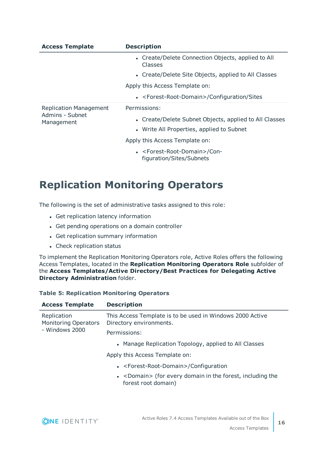| <b>Access Template</b>                                         | <b>Description</b>                                                            |
|----------------------------------------------------------------|-------------------------------------------------------------------------------|
|                                                                | • Create/Delete Connection Objects, applied to All<br>Classes                 |
|                                                                | • Create/Delete Site Objects, applied to All Classes                          |
|                                                                | Apply this Access Template on:                                                |
|                                                                | • <forest-root-domain>/Configuration/Sites</forest-root-domain>               |
| <b>Replication Management</b><br>Admins - Subnet<br>Management | Permissions:                                                                  |
|                                                                | • Create/Delete Subnet Objects, applied to All Classes                        |
|                                                                | • Write All Properties, applied to Subnet                                     |
|                                                                | Apply this Access Template on:                                                |
|                                                                | • <forest-root-domain>/Con-<br/>figuration/Sites/Subnets</forest-root-domain> |

### <span id="page-15-0"></span>**Replication Monitoring Operators**

The following is the set of administrative tasks assigned to this role:

- Get replication latency information
- Get pending operations on a domain controller
- Get replication summary information
- Check replication status

To implement the Replication Monitoring Operators role, Active Roles offers the following Access Templates, located in the **Replication Monitoring Operators Role** subfolder of the **Access Templates/Active Directory/Best Practices for Delegating Active Directory Administration** folder.

#### **Table 5: Replication Monitoring Operators**

| <b>Access Template</b>                                       | <b>Description</b>                                                                         |
|--------------------------------------------------------------|--------------------------------------------------------------------------------------------|
| Replication<br><b>Monitoring Operators</b><br>- Windows 2000 | This Access Template is to be used in Windows 2000 Active<br>Directory environments.       |
|                                                              | Permissions:                                                                               |
|                                                              | • Manage Replication Topology, applied to All Classes                                      |
|                                                              | Apply this Access Template on:                                                             |
|                                                              | • <forest-root-domain>/Configuration</forest-root-domain>                                  |
|                                                              | • <domain> (for every domain in the forest, including the<br/>forest root domain)</domain> |
|                                                              |                                                                                            |

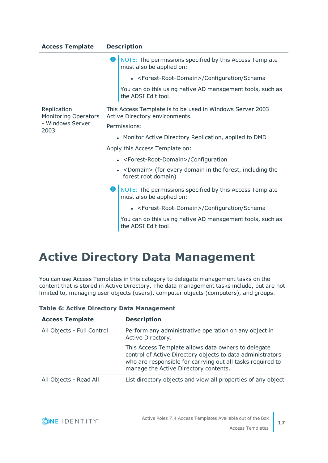| <b>Access Template</b>                     | <b>Description</b>                                                                          |  |
|--------------------------------------------|---------------------------------------------------------------------------------------------|--|
|                                            | Œ<br>NOTE: The permissions specified by this Access Template<br>must also be applied on:    |  |
|                                            | • <forest-root-domain>/Configuration/Schema</forest-root-domain>                            |  |
|                                            | You can do this using native AD management tools, such as<br>the ADSI Edit tool.            |  |
| Replication<br><b>Monitoring Operators</b> | This Access Template is to be used in Windows Server 2003<br>Active Directory environments. |  |
| - Windows Server<br>2003                   | Permissions:                                                                                |  |
|                                            | • Monitor Active Directory Replication, applied to DMD                                      |  |
|                                            | Apply this Access Template on:                                                              |  |
|                                            | • <forest-root-domain>/Configuration</forest-root-domain>                                   |  |
|                                            | • <domain> (for every domain in the forest, including the<br/>forest root domain)</domain>  |  |
|                                            | NOTE: The permissions specified by this Access Template<br>must also be applied on:         |  |
|                                            | • <forest-root-domain>/Configuration/Schema</forest-root-domain>                            |  |
|                                            | You can do this using native AD management tools, such as<br>the ADSI Edit tool.            |  |

## <span id="page-16-0"></span>**Active Directory Data Management**

You can use Access Templates in this category to delegate management tasks on the content that is stored in Active Directory. The data management tasks include, but are not limited to, managing user objects (users), computer objects (computers), and groups.

| <b>Access Template</b>     | <b>Description</b>                                                                                                                                                                                                       |
|----------------------------|--------------------------------------------------------------------------------------------------------------------------------------------------------------------------------------------------------------------------|
| All Objects - Full Control | Perform any administrative operation on any object in<br>Active Directory.                                                                                                                                               |
|                            | This Access Template allows data owners to delegate<br>control of Active Directory objects to data administrators<br>who are responsible for carrying out all tasks required to<br>manage the Active Directory contents. |
| All Objects - Read All     | List directory objects and view all properties of any object                                                                                                                                                             |

|  |  |  | <b>Table 6: Active Directory Data Management</b> |
|--|--|--|--------------------------------------------------|
|--|--|--|--------------------------------------------------|

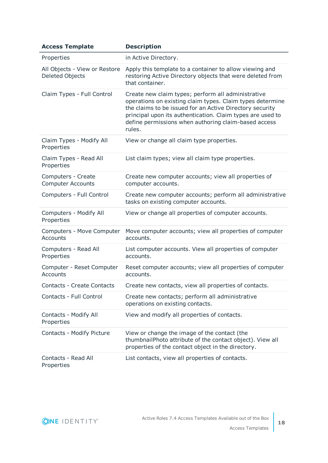| <b>Access Template</b>                                  | <b>Description</b>                                                                                                                                                                                                                                                                                          |
|---------------------------------------------------------|-------------------------------------------------------------------------------------------------------------------------------------------------------------------------------------------------------------------------------------------------------------------------------------------------------------|
| Properties                                              | in Active Directory.                                                                                                                                                                                                                                                                                        |
| All Objects - View or Restore<br><b>Deleted Objects</b> | Apply this template to a container to allow viewing and<br>restoring Active Directory objects that were deleted from<br>that container.                                                                                                                                                                     |
| Claim Types - Full Control                              | Create new claim types; perform all administrative<br>operations on existing claim types. Claim types determine<br>the claims to be issued for an Active Directory security<br>principal upon its authentication. Claim types are used to<br>define permissions when authoring claim-based access<br>rules. |
| Claim Types - Modify All<br>Properties                  | View or change all claim type properties.                                                                                                                                                                                                                                                                   |
| Claim Types - Read All<br>Properties                    | List claim types; view all claim type properties.                                                                                                                                                                                                                                                           |
| Computers - Create<br><b>Computer Accounts</b>          | Create new computer accounts; view all properties of<br>computer accounts.                                                                                                                                                                                                                                  |
| Computers - Full Control                                | Create new computer accounts; perform all administrative<br>tasks on existing computer accounts.                                                                                                                                                                                                            |
| Computers - Modify All<br>Properties                    | View or change all properties of computer accounts.                                                                                                                                                                                                                                                         |
| Computers - Move Computer<br><b>Accounts</b>            | Move computer accounts; view all properties of computer<br>accounts.                                                                                                                                                                                                                                        |
| Computers - Read All<br>Properties                      | List computer accounts. View all properties of computer<br>accounts.                                                                                                                                                                                                                                        |
| Computer - Reset Computer<br><b>Accounts</b>            | Reset computer accounts; view all properties of computer<br>accounts.                                                                                                                                                                                                                                       |
| <b>Contacts - Create Contacts</b>                       | Create new contacts, view all properties of contacts.                                                                                                                                                                                                                                                       |
| Contacts - Full Control                                 | Create new contacts; perform all administrative<br>operations on existing contacts.                                                                                                                                                                                                                         |
| Contacts - Modify All<br>Properties                     | View and modify all properties of contacts.                                                                                                                                                                                                                                                                 |
| Contacts - Modify Picture                               | View or change the image of the contact (the<br>thumbnailPhoto attribute of the contact object). View all<br>properties of the contact object in the directory.                                                                                                                                             |
| Contacts - Read All<br>Properties                       | List contacts, view all properties of contacts.                                                                                                                                                                                                                                                             |

ONE IDENTITY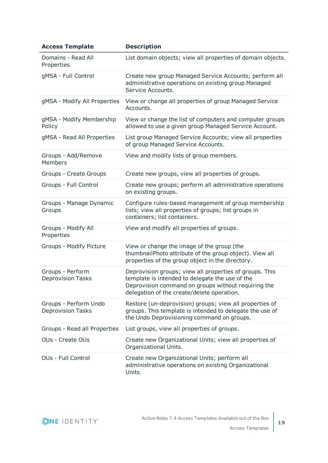| <b>Access Template</b>                            | <b>Description</b>                                                                                                                                                                                              |
|---------------------------------------------------|-----------------------------------------------------------------------------------------------------------------------------------------------------------------------------------------------------------------|
| Domains - Read All<br>Properties                  | List domain objects; view all properties of domain objects.                                                                                                                                                     |
| gMSA - Full Control                               | Create new group Managed Service Accounts; perform all<br>administrative operations on existing group Managed<br>Service Accounts.                                                                              |
| gMSA - Modify All Properties                      | View or change all properties of group Managed Service<br>Accounts.                                                                                                                                             |
| gMSA - Modify Membership<br>Policy                | View or change the list of computers and computer groups<br>allowed to use a given group Managed Service Account.                                                                                               |
| gMSA - Read All Properties                        | List group Managed Service Accounts; view all properties<br>of group Managed Service Accounts.                                                                                                                  |
| Groups - Add/Remove<br>Members                    | View and modify lists of group members.                                                                                                                                                                         |
| Groups - Create Groups                            | Create new groups, view all properties of groups.                                                                                                                                                               |
| Groups - Full Control                             | Create new groups; perform all administrative operations<br>on existing groups.                                                                                                                                 |
| Groups - Manage Dynamic<br>Groups                 | Configure rules-based management of group membership<br>lists; view all properties of groups; list groups in<br>containers; list containers.                                                                    |
| Groups - Modify All<br>Properties                 | View and modify all properties of groups.                                                                                                                                                                       |
| Groups - Modify Picture                           | View or change the image of the group (the<br>thumbnailPhoto attribute of the group object). View all<br>properties of the group object in the directory.                                                       |
| Groups - Perform<br><b>Deprovision Tasks</b>      | Deprovision groups; view all properties of groups. This<br>template is intended to delegate the use of the<br>Deprovision command on groups without requiring the<br>delegation of the create/delete operation. |
| Groups - Perform Undo<br><b>Deprovision Tasks</b> | Restore (un-deprovision) groups; view all properties of<br>groups. This template is intended to delegate the use of<br>the Undo Deprovisioning command on groups.                                               |
| Groups - Read all Properties                      | List groups, view all properties of groups.                                                                                                                                                                     |
| <b>OUs - Create OUs</b>                           | Create new Organizational Units; view all properties of<br>Organizational Units.                                                                                                                                |
| <b>OUs - Full Control</b>                         | Create new Organizational Units; perform all<br>administrative operations on existing Organizational<br>Units.                                                                                                  |

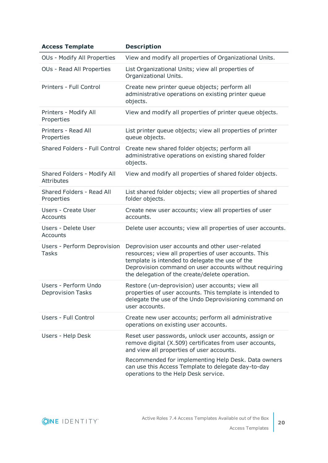| <b>Access Template</b>                           | <b>Description</b>                                                                                                                                                                                                                                                       |
|--------------------------------------------------|--------------------------------------------------------------------------------------------------------------------------------------------------------------------------------------------------------------------------------------------------------------------------|
| OUs - Modify All Properties                      | View and modify all properties of Organizational Units.                                                                                                                                                                                                                  |
| OUs - Read All Properties                        | List Organizational Units; view all properties of<br>Organizational Units.                                                                                                                                                                                               |
| Printers - Full Control                          | Create new printer queue objects; perform all<br>administrative operations on existing printer queue<br>objects.                                                                                                                                                         |
| Printers - Modify All<br>Properties              | View and modify all properties of printer queue objects.                                                                                                                                                                                                                 |
| Printers - Read All<br>Properties                | List printer queue objects; view all properties of printer<br>queue objects.                                                                                                                                                                                             |
| Shared Folders - Full Control                    | Create new shared folder objects; perform all<br>administrative operations on existing shared folder<br>objects.                                                                                                                                                         |
| Shared Folders - Modify All<br><b>Attributes</b> | View and modify all properties of shared folder objects.                                                                                                                                                                                                                 |
| Shared Folders - Read All<br>Properties          | List shared folder objects; view all properties of shared<br>folder objects.                                                                                                                                                                                             |
| <b>Users - Create User</b><br>Accounts           | Create new user accounts; view all properties of user<br>accounts.                                                                                                                                                                                                       |
| Users - Delete User<br>Accounts                  | Delete user accounts; view all properties of user accounts.                                                                                                                                                                                                              |
| Users - Perform Deprovision<br><b>Tasks</b>      | Deprovision user accounts and other user-related<br>resources; view all properties of user accounts. This<br>template is intended to delegate the use of the<br>Deprovision command on user accounts without requiring<br>the delegation of the create/delete operation. |
| Users - Perform Undo<br><b>Deprovision Tasks</b> | Restore (un-deprovision) user accounts; view all<br>properties of user accounts. This template is intended to<br>delegate the use of the Undo Deprovisioning command on<br>user accounts.                                                                                |
| Users - Full Control                             | Create new user accounts; perform all administrative<br>operations on existing user accounts.                                                                                                                                                                            |
| Users - Help Desk                                | Reset user passwords, unlock user accounts, assign or<br>remove digital (X.509) certificates from user accounts,<br>and view all properties of user accounts.                                                                                                            |
|                                                  | Recommended for implementing Help Desk. Data owners<br>can use this Access Template to delegate day-to-day<br>operations to the Help Desk service.                                                                                                                       |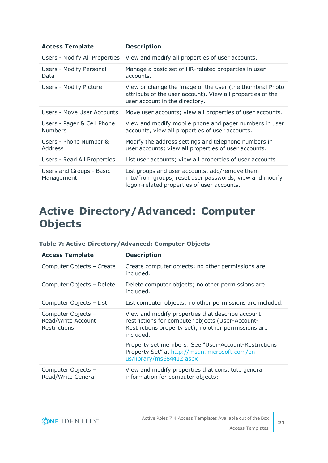| <b>Access Template</b>                       | <b>Description</b>                                                                                                                                        |
|----------------------------------------------|-----------------------------------------------------------------------------------------------------------------------------------------------------------|
|                                              | Users - Modify All Properties View and modify all properties of user accounts.                                                                            |
| Users - Modify Personal<br>Data              | Manage a basic set of HR-related properties in user<br>accounts.                                                                                          |
| Users - Modify Picture                       | View or change the image of the user (the thumbnail Photo<br>attribute of the user account). View all properties of the<br>user account in the directory. |
| Users - Move User Accounts                   | Move user accounts; view all properties of user accounts.                                                                                                 |
| Users - Pager & Cell Phone<br><b>Numbers</b> | View and modify mobile phone and pager numbers in user<br>accounts, view all properties of user accounts.                                                 |
| Users - Phone Number &<br>Address            | Modify the address settings and telephone numbers in<br>user accounts; view all properties of user accounts.                                              |
| Users - Read All Properties                  | List user accounts; view all properties of user accounts.                                                                                                 |
| Users and Groups - Basic<br>Management       | List groups and user accounts, add/remove them<br>into/from groups, reset user passwords, view and modify<br>logon-related properties of user accounts.   |

### <span id="page-20-0"></span>**Active Directory/Advanced: Computer Objects**

| <b>Access Template</b>                                   | <b>Description</b>                                                                                                                                                        |
|----------------------------------------------------------|---------------------------------------------------------------------------------------------------------------------------------------------------------------------------|
| Computer Objects - Create                                | Create computer objects; no other permissions are<br>included.                                                                                                            |
| Computer Objects - Delete                                | Delete computer objects; no other permissions are<br>included.                                                                                                            |
| Computer Objects - List                                  | List computer objects; no other permissions are included.                                                                                                                 |
| Computer Objects -<br>Read/Write Account<br>Restrictions | View and modify properties that describe account<br>restrictions for computer objects (User-Account-<br>Restrictions property set); no other permissions are<br>included. |
|                                                          | Property set members: See "User-Account-Restrictions<br>Property Set" at http://msdn.microsoft.com/en-<br>us/library/ms684412.aspx                                        |
| Computer Objects -<br>Read/Write General                 | View and modify properties that constitute general<br>information for computer objects:                                                                                   |

#### **Table 7: Active Directory/Advanced: Computer Objects**

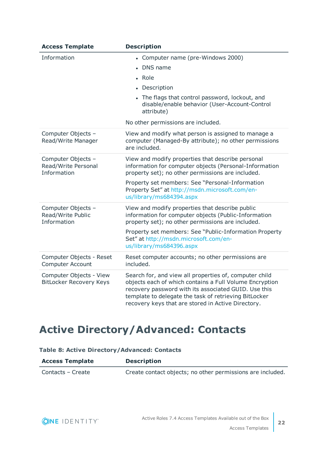| <b>Access Template</b>                                    | <b>Description</b>                                                                                                                                                                                                                                                                                |
|-----------------------------------------------------------|---------------------------------------------------------------------------------------------------------------------------------------------------------------------------------------------------------------------------------------------------------------------------------------------------|
| Information                                               | • Computer name (pre-Windows 2000)<br>• DNS name<br>• Role<br>• Description<br>• The flags that control password, lockout, and<br>disable/enable behavior (User-Account-Control<br>attribute)<br>No other permissions are included.                                                               |
| Computer Objects -<br>Read/Write Manager                  | View and modify what person is assigned to manage a<br>computer (Managed-By attribute); no other permissions<br>are included.                                                                                                                                                                     |
| Computer Objects -<br>Read/Write Personal<br>Information  | View and modify properties that describe personal<br>information for computer objects (Personal-Information<br>property set); no other permissions are included.<br>Property set members: See "Personal-Information<br>Property Set" at http://msdn.microsoft.com/en-<br>us/library/ms684394.aspx |
| Computer Objects -<br>Read/Write Public<br>Information    | View and modify properties that describe public<br>information for computer objects (Public-Information<br>property set); no other permissions are included.<br>Property set members: See "Public-Information Property<br>Set" at http://msdn.microsoft.com/en-<br>us/library/ms684396.aspx       |
| Computer Objects - Reset<br><b>Computer Account</b>       | Reset computer accounts; no other permissions are<br>included.                                                                                                                                                                                                                                    |
| Computer Objects - View<br><b>BitLocker Recovery Keys</b> | Search for, and view all properties of, computer child<br>objects each of which contains a Full Volume Encryption<br>recovery password with its associated GUID. Use this<br>template to delegate the task of retrieving BitLocker<br>recovery keys that are stored in Active Directory.          |

### <span id="page-21-0"></span>**Active Directory/Advanced: Contacts**

#### **Table 8: Active Directory/Advanced: Contacts**

| <b>Access Template</b> | <b>Description</b>                                         |
|------------------------|------------------------------------------------------------|
| Contacts – Create      | Create contact objects; no other permissions are included. |

ONE IDENTITY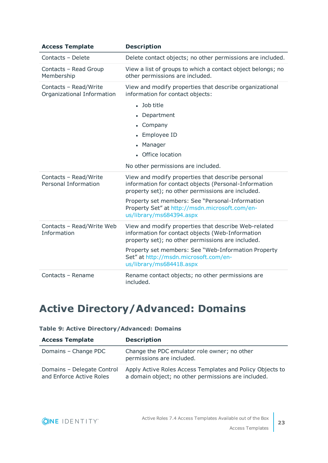| <b>Access Template</b>                               | <b>Description</b>                                                                                                                                              |
|------------------------------------------------------|-----------------------------------------------------------------------------------------------------------------------------------------------------------------|
| Contacts - Delete                                    | Delete contact objects; no other permissions are included.                                                                                                      |
| Contacts - Read Group<br>Membership                  | View a list of groups to which a contact object belongs; no<br>other permissions are included.                                                                  |
| Contacts - Read/Write<br>Organizational Information  | View and modify properties that describe organizational<br>information for contact objects:                                                                     |
|                                                      | • Job title                                                                                                                                                     |
|                                                      | • Department                                                                                                                                                    |
|                                                      | • Company                                                                                                                                                       |
|                                                      | • Employee ID                                                                                                                                                   |
|                                                      | • Manager                                                                                                                                                       |
|                                                      | • Office location                                                                                                                                               |
|                                                      | No other permissions are included.                                                                                                                              |
| Contacts - Read/Write<br><b>Personal Information</b> | View and modify properties that describe personal<br>information for contact objects (Personal-Information<br>property set); no other permissions are included. |
|                                                      | Property set members: See "Personal-Information<br>Property Set" at http://msdn.microsoft.com/en-<br>us/library/ms684394.aspx                                   |
| Contacts - Read/Write Web<br>Information             | View and modify properties that describe Web-related<br>information for contact objects (Web-Information<br>property set); no other permissions are included.   |
|                                                      | Property set members: See "Web-Information Property<br>Set" at http://msdn.microsoft.com/en-<br>us/library/ms684418.aspx                                        |
| Contacts - Rename                                    | Rename contact objects; no other permissions are<br>included.                                                                                                   |

### <span id="page-22-0"></span>**Active Directory/Advanced: Domains**

#### **Table 9: Active Directory/Advanced: Domains**

| <b>Access Template</b>                                 | <b>Description</b>                                                                                               |
|--------------------------------------------------------|------------------------------------------------------------------------------------------------------------------|
| Domains - Change PDC                                   | Change the PDC emulator role owner; no other<br>permissions are included.                                        |
| Domains - Delegate Control<br>and Enforce Active Roles | Apply Active Roles Access Templates and Policy Objects to<br>a domain object; no other permissions are included. |

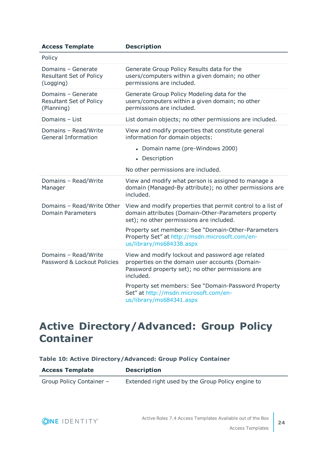| <b>Access Template</b>                                             | <b>Description</b>                                                                                                                                                   |
|--------------------------------------------------------------------|----------------------------------------------------------------------------------------------------------------------------------------------------------------------|
| Policy                                                             |                                                                                                                                                                      |
| Domains - Generate<br><b>Resultant Set of Policy</b><br>(Logging)  | Generate Group Policy Results data for the<br>users/computers within a given domain; no other<br>permissions are included.                                           |
| Domains - Generate<br><b>Resultant Set of Policy</b><br>(Planning) | Generate Group Policy Modeling data for the<br>users/computers within a given domain; no other<br>permissions are included.                                          |
| Domains - List                                                     | List domain objects; no other permissions are included.                                                                                                              |
| Domains - Read/Write<br><b>General Information</b>                 | View and modify properties that constitute general<br>information for domain objects:                                                                                |
|                                                                    | • Domain name (pre-Windows 2000)                                                                                                                                     |
|                                                                    | • Description                                                                                                                                                        |
|                                                                    | No other permissions are included.                                                                                                                                   |
| Domains - Read/Write<br>Manager                                    | View and modify what person is assigned to manage a<br>domain (Managed-By attribute); no other permissions are<br>included.                                          |
| Domains - Read/Write Other<br><b>Domain Parameters</b>             | View and modify properties that permit control to a list of<br>domain attributes (Domain-Other-Parameters property<br>set); no other permissions are included.       |
|                                                                    | Property set members: See "Domain-Other-Parameters<br>Property Set" at http://msdn.microsoft.com/en-<br>us/library/ms684338.aspx                                     |
| Domains - Read/Write<br>Password & Lockout Policies                | View and modify lockout and password age related<br>properties on the domain user accounts (Domain-<br>Password property set); no other permissions are<br>included. |
|                                                                    | Property set members: See "Domain-Password Property<br>Set" at http://msdn.microsoft.com/en-<br>us/library/ms684341.aspx                                             |

### <span id="page-23-0"></span>**Active Directory/Advanced: Group Policy Container**

#### **Table 10: Active Directory/Advanced: Group Policy Container**

| <b>Access Template</b>   | <b>Description</b>                                |
|--------------------------|---------------------------------------------------|
| Group Policy Container - | Extended right used by the Group Policy engine to |

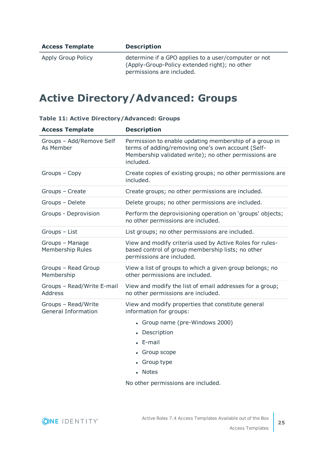| <b>Access Template</b> | <b>Description</b>                                                                                                                 |
|------------------------|------------------------------------------------------------------------------------------------------------------------------------|
| Apply Group Policy     | determine if a GPO applies to a user/computer or not<br>(Apply-Group-Policy extended right); no other<br>permissions are included. |

### <span id="page-24-0"></span>**Active Directory/Advanced: Groups**

| <b>Access Template</b>                            | <b>Description</b>                                                                                                                                                                                |
|---------------------------------------------------|---------------------------------------------------------------------------------------------------------------------------------------------------------------------------------------------------|
| Groups - Add/Remove Self<br>As Member             | Permission to enable updating membership of a group in<br>terms of adding/removing one's own account (Self-<br>Membership validated write); no other permissions are<br>included.                 |
| Groups - Copy                                     | Create copies of existing groups; no other permissions are<br>included.                                                                                                                           |
| Groups - Create                                   | Create groups; no other permissions are included.                                                                                                                                                 |
| Groups - Delete                                   | Delete groups; no other permissions are included.                                                                                                                                                 |
| Groups - Deprovision                              | Perform the deprovisioning operation on 'groups' objects;<br>no other permissions are included.                                                                                                   |
| Groups - List                                     | List groups; no other permissions are included.                                                                                                                                                   |
| Groups - Manage<br>Membership Rules               | View and modify criteria used by Active Roles for rules-<br>based control of group membership lists; no other<br>permissions are included.                                                        |
| Groups - Read Group<br>Membership                 | View a list of groups to which a given group belongs; no<br>other permissions are included.                                                                                                       |
| Groups - Read/Write E-mail<br><b>Address</b>      | View and modify the list of email addresses for a group;<br>no other permissions are included.                                                                                                    |
| Groups - Read/Write<br><b>General Information</b> | View and modify properties that constitute general<br>information for groups:<br>• Group name (pre-Windows 2000)<br>• Description<br>$\bullet$ E-mail<br>• Group scope<br>• Group type<br>• Notes |

#### **Table 11: Active Directory/Advanced: Groups**

No other permissions are included.

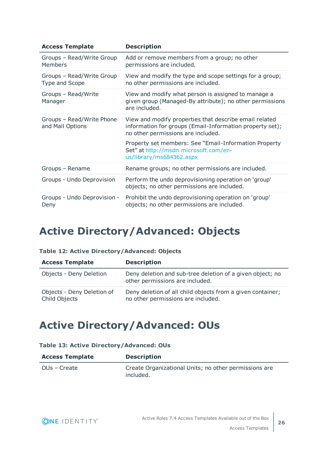| <b>Access Template</b>                        | <b>Description</b>                                                                                                                                       |
|-----------------------------------------------|----------------------------------------------------------------------------------------------------------------------------------------------------------|
| Groups - Read/Write Group<br><b>Members</b>   | Add or remove members from a group; no other<br>permissions are included.                                                                                |
| Groups - Read/Write Group<br>Type and Scope   | View and modify the type and scope settings for a group;<br>no other permissions are included.                                                           |
| Groups - Read/Write<br>Manager                | View and modify what person is assigned to manage a<br>given group (Managed-By attribute); no other permissions<br>are included.                         |
| Groups - Read/Write Phone<br>and Mail Options | View and modify properties that describe email related<br>information for groups (Email-Information property set);<br>no other permissions are included. |
|                                               | Property set members: See "Email-Information Property<br>Set" at http://msdn.microsoft.com/en-<br>us/library/ms684362.aspx                               |
| Groups - Rename                               | Rename groups; no other permissions are included.                                                                                                        |
| Groups - Undo Deprovision                     | Perform the undo deprovisioning operation on 'group'<br>objects; no other permissions are included.                                                      |
| Groups - Undo Deprovision -<br>Deny           | Prohibit the undo deprovisioning operation on 'group'<br>objects; no other permissions are included.                                                     |

### <span id="page-25-0"></span>**Active Directory/Advanced: Objects**

| Table 12: Active Directory/Advanced: Objects |  |  |  |  |
|----------------------------------------------|--|--|--|--|
|----------------------------------------------|--|--|--|--|

| <b>Access Template</b>                      | <b>Description</b>                                                                               |
|---------------------------------------------|--------------------------------------------------------------------------------------------------|
| Objects - Deny Deletion                     | Deny deletion and sub-tree deletion of a given object; no<br>other permissions are included.     |
| Objects - Deny Deletion of<br>Child Objects | Deny deletion of all child objects from a given container;<br>no other permissions are included. |

### <span id="page-25-1"></span>**Active Directory/Advanced: OUs**

|  |  |  | Table 13: Active Directory/Advanced: OUs |  |
|--|--|--|------------------------------------------|--|
|--|--|--|------------------------------------------|--|

| <b>Access Template</b> | <b>Description</b>                                                 |
|------------------------|--------------------------------------------------------------------|
| OUs – Create           | Create Organizational Units; no other permissions are<br>included. |

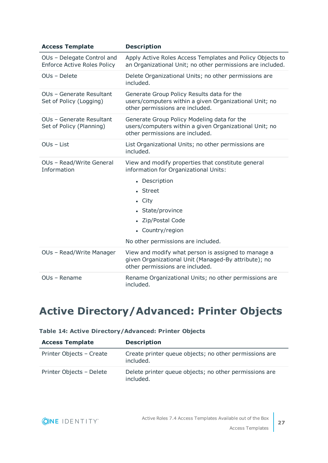| <b>Access Template</b>                                           | <b>Description</b>                                                                                                                             |  |
|------------------------------------------------------------------|------------------------------------------------------------------------------------------------------------------------------------------------|--|
| OUs - Delegate Control and<br><b>Enforce Active Roles Policy</b> | Apply Active Roles Access Templates and Policy Objects to<br>an Organizational Unit; no other permissions are included.                        |  |
| OUs - Delete                                                     | Delete Organizational Units; no other permissions are<br>included.                                                                             |  |
| OUs - Generate Resultant<br>Set of Policy (Logging)              | Generate Group Policy Results data for the<br>users/computers within a given Organizational Unit; no<br>other permissions are included.        |  |
| OUs - Generate Resultant<br>Set of Policy (Planning)             | Generate Group Policy Modeling data for the<br>users/computers within a given Organizational Unit; no<br>other permissions are included.       |  |
| OUs - List                                                       | List Organizational Units; no other permissions are<br>included.                                                                               |  |
| OUs - Read/Write General<br>Information                          | View and modify properties that constitute general<br>information for Organizational Units:                                                    |  |
|                                                                  | • Description                                                                                                                                  |  |
|                                                                  | • Street                                                                                                                                       |  |
|                                                                  | $\bullet$ City                                                                                                                                 |  |
|                                                                  | • State/province                                                                                                                               |  |
|                                                                  | • Zip/Postal Code                                                                                                                              |  |
|                                                                  | • Country/region                                                                                                                               |  |
|                                                                  | No other permissions are included.                                                                                                             |  |
| OUs - Read/Write Manager                                         | View and modify what person is assigned to manage a<br>given Organizational Unit (Managed-By attribute); no<br>other permissions are included. |  |
| OUs - Rename                                                     | Rename Organizational Units; no other permissions are<br>included.                                                                             |  |

## <span id="page-26-0"></span>**Active Directory/Advanced: Printer Objects**

| <b>Access Template</b>   | <b>Description</b>                                                  |
|--------------------------|---------------------------------------------------------------------|
| Printer Objects - Create | Create printer queue objects; no other permissions are<br>included. |
| Printer Objects - Delete | Delete printer queue objects; no other permissions are<br>included. |

#### **Table 14: Active Directory/Advanced: Printer Objects**

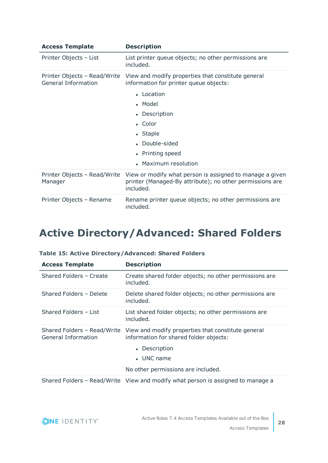| <b>Access Template</b>                              | <b>Description</b>                                                                                                                |
|-----------------------------------------------------|-----------------------------------------------------------------------------------------------------------------------------------|
| Printer Objects - List                              | List printer queue objects; no other permissions are<br>included.                                                                 |
| Printer Objects - Read/Write<br>General Information | View and modify properties that constitute general<br>information for printer queue objects:                                      |
|                                                     | • Location                                                                                                                        |
|                                                     | • Model                                                                                                                           |
|                                                     | • Description                                                                                                                     |
|                                                     | $\bullet$ Color                                                                                                                   |
|                                                     | • Staple                                                                                                                          |
|                                                     | • Double-sided                                                                                                                    |
|                                                     | • Printing speed                                                                                                                  |
|                                                     | • Maximum resolution                                                                                                              |
| Printer Objects - Read/Write<br>Manager             | View or modify what person is assigned to manage a given<br>printer (Managed-By attribute); no other permissions are<br>included. |
| Printer Objects - Rename                            | Rename printer queue objects; no other permissions are<br>included.                                                               |

### <span id="page-27-0"></span>**Active Directory/Advanced: Shared Folders**

| <b>Access Template</b>                             | <b>Description</b>                                                                                                                                                        |
|----------------------------------------------------|---------------------------------------------------------------------------------------------------------------------------------------------------------------------------|
| Shared Folders - Create                            | Create shared folder objects; no other permissions are<br>included.                                                                                                       |
| Shared Folders - Delete                            | Delete shared folder objects; no other permissions are<br>included.                                                                                                       |
| Shared Folders - List                              | List shared folder objects; no other permissions are<br>included.                                                                                                         |
| Shared Folders - Read/Write<br>General Information | View and modify properties that constitute general<br>information for shared folder objects:<br>• Description<br>$\bullet$ UNC name<br>No other permissions are included. |
|                                                    |                                                                                                                                                                           |
|                                                    | Shared Folders - Read/Write View and modify what person is assigned to manage a                                                                                           |

#### **Table 15: Active Directory/Advanced: Shared Folders**

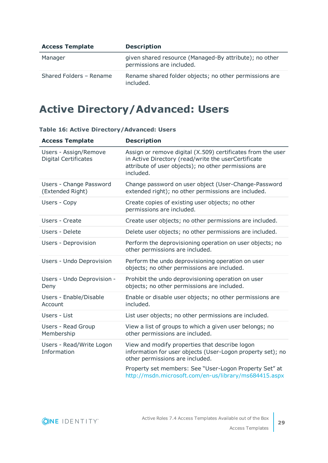| <b>Access Template</b>  | <b>Description</b>                                                                  |
|-------------------------|-------------------------------------------------------------------------------------|
| Manager                 | given shared resource (Managed-By attribute); no other<br>permissions are included. |
| Shared Folders - Rename | Rename shared folder objects; no other permissions are<br>included.                 |

### <span id="page-28-0"></span>**Active Directory/Advanced: Users**

| <b>Access Template</b>                               | <b>Description</b>                                                                                                                                                                      |
|------------------------------------------------------|-----------------------------------------------------------------------------------------------------------------------------------------------------------------------------------------|
| Users - Assign/Remove<br><b>Digital Certificates</b> | Assign or remove digital (X.509) certificates from the user<br>in Active Directory (read/write the userCertificate<br>attribute of user objects); no other permissions are<br>included. |
| Users - Change Password<br>(Extended Right)          | Change password on user object (User-Change-Password<br>extended right); no other permissions are included.                                                                             |
| Users - Copy                                         | Create copies of existing user objects; no other<br>permissions are included.                                                                                                           |
| Users - Create                                       | Create user objects; no other permissions are included.                                                                                                                                 |
| Users - Delete                                       | Delete user objects; no other permissions are included.                                                                                                                                 |
| Users - Deprovision                                  | Perform the deprovisioning operation on user objects; no<br>other permissions are included.                                                                                             |
| Users - Undo Deprovision                             | Perform the undo deprovisioning operation on user<br>objects; no other permissions are included.                                                                                        |
| Users - Undo Deprovision -<br>Deny                   | Prohibit the undo deprovisioning operation on user<br>objects; no other permissions are included.                                                                                       |
| Users - Enable/Disable<br>Account                    | Enable or disable user objects; no other permissions are<br>included.                                                                                                                   |
| Users - List                                         | List user objects; no other permissions are included.                                                                                                                                   |
| Users - Read Group<br>Membership                     | View a list of groups to which a given user belongs; no<br>other permissions are included.                                                                                              |
| Users - Read/Write Logon<br>Information              | View and modify properties that describe logon<br>information for user objects (User-Logon property set); no<br>other permissions are included.                                         |
|                                                      | Property set members: See "User-Logon Property Set" at<br>http://msdn.microsoft.com/en-us/library/ms684415.aspx                                                                         |

#### **Table 16: Active Directory/Advanced: Users**

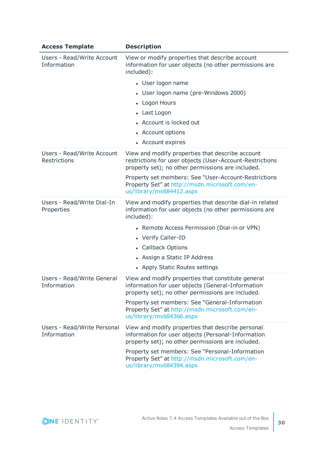| <b>Access Template</b>                     | <b>Description</b>                                                                                                                                                |
|--------------------------------------------|-------------------------------------------------------------------------------------------------------------------------------------------------------------------|
| Users - Read/Write Account<br>Information  | View or modify properties that describe account<br>information for user objects (no other permissions are<br>included):                                           |
|                                            | • User logon name                                                                                                                                                 |
|                                            | • User logon name (pre-Windows 2000)                                                                                                                              |
|                                            | • Logon Hours                                                                                                                                                     |
|                                            | • Last Logon                                                                                                                                                      |
|                                            | • Account is locked out                                                                                                                                           |
|                                            | • Account options                                                                                                                                                 |
|                                            | • Account expires                                                                                                                                                 |
| Users - Read/Write Account<br>Restrictions | View and modify properties that describe account<br>restrictions for user objects (User-Account-Restrictions<br>property set); no other permissions are included. |
|                                            | Property set members: See "User-Account-Restrictions<br>Property Set" at http://msdn.microsoft.com/en-<br>us/library/ms684412.aspx                                |
| Users - Read/Write Dial-In<br>Properties   | View and modify properties that describe dial-in related<br>information for user objects (no other permissions are<br>included):                                  |
|                                            | • Remote Access Permission (Dial-in or VPN)                                                                                                                       |
|                                            | • Verify Caller-ID                                                                                                                                                |
|                                            | • Callback Options                                                                                                                                                |
|                                            | • Assign a Static IP Address                                                                                                                                      |
|                                            | • Apply Static Routes settings                                                                                                                                    |
| Users - Read/Write General<br>Information  | View and modify properties that constitute general<br>information for user objects (General-Information<br>property set); no other permissions are included.      |
|                                            | Property set members: See "General-Information<br>Property Set" at http://msdn.microsoft.com/en-<br>us/library/ms684366.aspx                                      |
| Users - Read/Write Personal<br>Information | View and modify properties that describe personal<br>information for user objects (Personal-Information<br>property set); no other permissions are included.      |
|                                            | Property set members: See "Personal-Information<br>Property Set" at http://msdn.microsoft.com/en-<br>us/library/ms684394.aspx                                     |

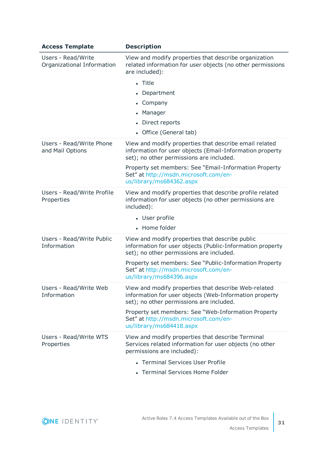| <b>Access Template</b>                           | <b>Description</b>                                                                                                                                                                                                                                                                           |
|--------------------------------------------------|----------------------------------------------------------------------------------------------------------------------------------------------------------------------------------------------------------------------------------------------------------------------------------------------|
| Users - Read/Write<br>Organizational Information | View and modify properties that describe organization<br>related information for user objects (no other permissions<br>are included):<br>• Title<br>• Department<br>• Company<br>• Manager<br>• Direct reports<br>• Office (General tab)                                                     |
| Users - Read/Write Phone<br>and Mail Options     | View and modify properties that describe email related<br>information for user objects (Email-Information property<br>set); no other permissions are included.<br>Property set members: See "Email-Information Property<br>Set" at http://msdn.microsoft.com/en-<br>us/library/ms684362.aspx |
| Users - Read/Write Profile<br>Properties         | View and modify properties that describe profile related<br>information for user objects (no other permissions are<br>included):<br>• User profile<br>• Home folder                                                                                                                          |
| Users - Read/Write Public<br>Information         | View and modify properties that describe public<br>information for user objects (Public-Information property<br>set); no other permissions are included.<br>Property set members: See "Public-Information Property<br>Set" at http://msdn.microsoft.com/en-<br>us/library/ms684396.aspx      |
| Users - Read/Write Web<br>Information            | View and modify properties that describe Web-related<br>information for user objects (Web-Information property<br>set); no other permissions are included.<br>Property set members: See "Web-Information Property<br>Set" at http://msdn.microsoft.com/en-<br>us/library/ms684418.aspx       |
| Users - Read/Write WTS<br>Properties             | View and modify properties that describe Terminal<br>Services related information for user objects (no other<br>permissions are included):<br>• Terminal Services User Profile<br>• Terminal Services Home Folder                                                                            |

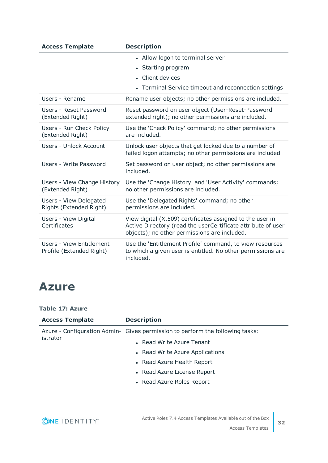| <b>Access Template</b>                                      | <b>Description</b>                                                                                                                                                        |
|-------------------------------------------------------------|---------------------------------------------------------------------------------------------------------------------------------------------------------------------------|
|                                                             | • Allow logon to terminal server<br>• Starting program<br>• Client devices<br>• Terminal Service timeout and reconnection settings                                        |
| Users - Rename                                              | Rename user objects; no other permissions are included.                                                                                                                   |
| Users - Reset Password<br>(Extended Right)                  | Reset password on user object (User-Reset-Password<br>extended right); no other permissions are included.                                                                 |
| Users - Run Check Policy<br>(Extended Right)                | Use the 'Check Policy' command; no other permissions<br>are included.                                                                                                     |
| Users - Unlock Account                                      | Unlock user objects that get locked due to a number of<br>failed logon attempts; no other permissions are included.                                                       |
| Users - Write Password                                      | Set password on user object; no other permissions are<br>included.                                                                                                        |
| Users - View Change History<br>(Extended Right)             | Use the 'Change History' and 'User Activity' commands;<br>no other permissions are included.                                                                              |
| Users - View Delegated<br>Rights (Extended Right)           | Use the 'Delegated Rights' command; no other<br>permissions are included.                                                                                                 |
| Users - View Digital<br>Certificates                        | View digital (X.509) certificates assigned to the user in<br>Active Directory (read the userCertificate attribute of user<br>objects); no other permissions are included. |
| <b>Users - View Entitlement</b><br>Profile (Extended Right) | Use the 'Entitlement Profile' command, to view resources<br>to which a given user is entitled. No other permissions are<br>included.                                      |

### <span id="page-31-0"></span>**Azure**

#### **Table 17: Azure**

| <b>Access Template</b> | <b>Description</b>                                                            |
|------------------------|-------------------------------------------------------------------------------|
| istrator               | Azure - Configuration Admin- Gives permission to perform the following tasks: |
|                        | • Read Write Azure Tenant                                                     |
|                        | • Read Write Azure Applications                                               |
|                        | • Read Azure Health Report                                                    |
|                        | • Read Azure License Report                                                   |
|                        | • Read Azure Roles Report                                                     |
|                        |                                                                               |

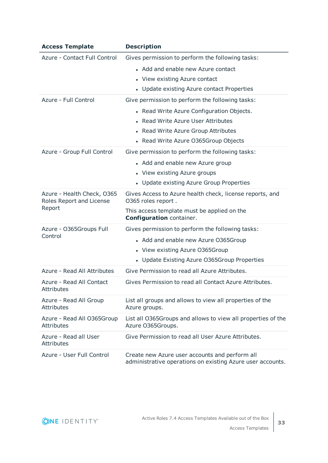| <b>Access Template</b>                                 | <b>Description</b>                                                                                           |
|--------------------------------------------------------|--------------------------------------------------------------------------------------------------------------|
| Azure - Contact Full Control                           | Gives permission to perform the following tasks:                                                             |
|                                                        | • Add and enable new Azure contact                                                                           |
|                                                        | • View existing Azure contact                                                                                |
|                                                        | • Update existing Azure contact Properties                                                                   |
| Azure - Full Control                                   | Give permission to perform the following tasks:                                                              |
|                                                        | • Read Write Azure Configuration Objects.                                                                    |
|                                                        | • Read Write Azure User Attributes                                                                           |
|                                                        | • Read Write Azure Group Attributes                                                                          |
|                                                        | • Read Write Azure O365Group Objects                                                                         |
| Azure - Group Full Control                             | Give permission to perform the following tasks:                                                              |
|                                                        | • Add and enable new Azure group                                                                             |
|                                                        | • View existing Azure groups                                                                                 |
|                                                        | • Update existing Azure Group Properties                                                                     |
| Azure - Health Check, 0365<br>Roles Report and License | Gives Access to Azure health check, license reports, and<br>O365 roles report.                               |
| Report                                                 | This access template must be applied on the<br>Configuration container.                                      |
| Azure - O365Groups Full                                | Gives permission to perform the following tasks:                                                             |
| Control                                                | • Add and enable new Azure O365Group                                                                         |
|                                                        | • View existing Azure O365Group                                                                              |
|                                                        | • Update Existing Azure O365Group Properties                                                                 |
| Azure - Read All Attributes                            | Give Permission to read all Azure Attributes.                                                                |
| Azure - Read All Contact<br>Attributes                 | Gives Permission to read all Contact Azure Attributes.                                                       |
| Azure - Read All Group<br><b>Attributes</b>            | List all groups and allows to view all properties of the<br>Azure groups.                                    |
| Azure - Read All O365Group<br>Attributes               | List all O365Groups and allows to view all properties of the<br>Azure O365Groups.                            |
| Azure - Read all User<br><b>Attributes</b>             | Give Permission to read all User Azure Attributes.                                                           |
| Azure - User Full Control                              | Create new Azure user accounts and perform all<br>administrative operations on existing Azure user accounts. |

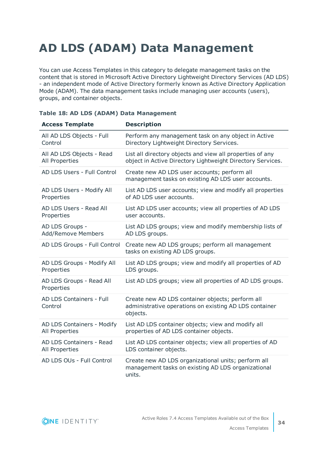# <span id="page-33-0"></span>**AD LDS (ADAM) Data Management**

You can use Access Templates in this category to delegate management tasks on the content that is stored in Microsoft Active Directory Lightweight Directory Services (AD LDS) - an independent mode of Active Directory formerly known as Active Directory Application Mode (ADAM). The data management tasks include managing user accounts (users), groups, and container objects.

| <b>Access Template</b>                     | <b>Description</b>                                                                                                     |
|--------------------------------------------|------------------------------------------------------------------------------------------------------------------------|
| All AD LDS Objects - Full                  | Perform any management task on any object in Active                                                                    |
| Control                                    | Directory Lightweight Directory Services.                                                                              |
| All AD LDS Objects - Read                  | List all directory objects and view all properties of any                                                              |
| All Properties                             | object in Active Directory Lightweight Directory Services.                                                             |
| AD LDS Users - Full Control                | Create new AD LDS user accounts; perform all<br>management tasks on existing AD LDS user accounts.                     |
| AD LDS Users - Modify All                  | List AD LDS user accounts; view and modify all properties                                                              |
| Properties                                 | of AD LDS user accounts.                                                                                               |
| AD LDS Users - Read All                    | List AD LDS user accounts; view all properties of AD LDS                                                               |
| Properties                                 | user accounts.                                                                                                         |
| AD LDS Groups -                            | List AD LDS groups; view and modify membership lists of                                                                |
| Add/Remove Members                         | AD LDS groups.                                                                                                         |
| AD LDS Groups - Full Control               | Create new AD LDS groups; perform all management<br>tasks on existing AD LDS groups.                                   |
| AD LDS Groups - Modify All                 | List AD LDS groups; view and modify all properties of AD                                                               |
| Properties                                 | LDS groups.                                                                                                            |
| AD LDS Groups - Read All<br>Properties     | List AD LDS groups; view all properties of AD LDS groups.                                                              |
| <b>AD LDS Containers - Full</b><br>Control | Create new AD LDS container objects; perform all<br>administrative operations on existing AD LDS container<br>objects. |
| AD LDS Containers - Modify                 | List AD LDS container objects; view and modify all                                                                     |
| All Properties                             | properties of AD LDS container objects.                                                                                |
| AD LDS Containers - Read                   | List AD LDS container objects; view all properties of AD                                                               |
| All Properties                             | LDS container objects.                                                                                                 |
| AD LDS OUs - Full Control                  | Create new AD LDS organizational units; perform all<br>management tasks on existing AD LDS organizational<br>units.    |

#### **Table 18: AD LDS (ADAM) Data Management**

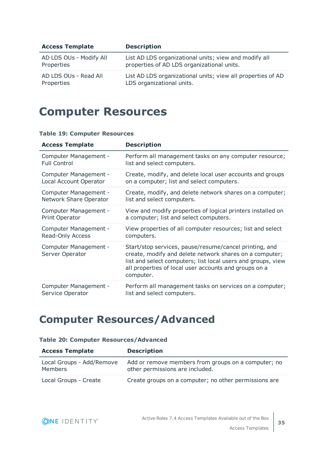| <b>Access Template</b>  | <b>Description</b>                                          |
|-------------------------|-------------------------------------------------------------|
| AD LDS OUs - Modify All | List AD LDS organizational units; view and modify all       |
| Properties              | properties of AD LDS organizational units.                  |
| AD LDS OUs - Read All   | List AD LDS organizational units; view all properties of AD |
| Properties              | LDS organizational units.                                   |

### <span id="page-34-0"></span>**Computer Resources**

#### **Table 19: Computer Resources**

| <b>Access Template</b>                   | <b>Description</b>                                                                                                                                                                                                                                      |
|------------------------------------------|---------------------------------------------------------------------------------------------------------------------------------------------------------------------------------------------------------------------------------------------------------|
| Computer Management -                    | Perform all management tasks on any computer resource;                                                                                                                                                                                                  |
| <b>Full Control</b>                      | list and select computers.                                                                                                                                                                                                                              |
| Computer Management -                    | Create, modify, and delete local user accounts and groups                                                                                                                                                                                               |
| Local Account Operator                   | on a computer; list and select computers.                                                                                                                                                                                                               |
| Computer Management -                    | Create, modify, and delete network shares on a computer;                                                                                                                                                                                                |
| Network Share Operator                   | list and select computers.                                                                                                                                                                                                                              |
| Computer Management -                    | View and modify properties of logical printers installed on                                                                                                                                                                                             |
| <b>Print Operator</b>                    | a computer; list and select computers.                                                                                                                                                                                                                  |
| Computer Management -                    | View properties of all computer resources; list and select                                                                                                                                                                                              |
| Read-Only Access                         | computers.                                                                                                                                                                                                                                              |
| Computer Management -<br>Server Operator | Start/stop services, pause/resume/cancel printing, and<br>create, modify and delete network shares on a computer;<br>list and select computers; list local users and groups, view<br>all properties of local user accounts and groups on a<br>computer. |
| Computer Management -                    | Perform all management tasks on services on a computer;                                                                                                                                                                                                 |
| Service Operator                         | list and select computers.                                                                                                                                                                                                                              |

### <span id="page-34-1"></span>**Computer Resources/Advanced**

| <b>Access Template</b>                      | <b>Description</b>                                                                     |
|---------------------------------------------|----------------------------------------------------------------------------------------|
| Local Groups - Add/Remove<br><b>Members</b> | Add or remove members from groups on a computer; no<br>other permissions are included. |
| Local Groups - Create                       | Create groups on a computer; no other permissions are                                  |

#### **Table 20: Computer Resources/Advanced**

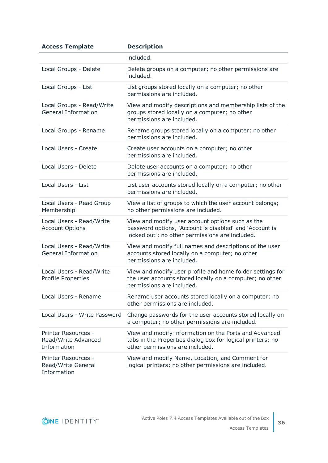| <b>Access Template</b>                                    | <b>Description</b>                                                                                                                                             |
|-----------------------------------------------------------|----------------------------------------------------------------------------------------------------------------------------------------------------------------|
|                                                           | included.                                                                                                                                                      |
| Local Groups - Delete                                     | Delete groups on a computer; no other permissions are<br>included.                                                                                             |
| Local Groups - List                                       | List groups stored locally on a computer; no other<br>permissions are included.                                                                                |
| Local Groups - Read/Write<br><b>General Information</b>   | View and modify descriptions and membership lists of the<br>groups stored locally on a computer; no other<br>permissions are included.                         |
| Local Groups - Rename                                     | Rename groups stored locally on a computer; no other<br>permissions are included.                                                                              |
| Local Users - Create                                      | Create user accounts on a computer; no other<br>permissions are included.                                                                                      |
| Local Users - Delete                                      | Delete user accounts on a computer; no other<br>permissions are included.                                                                                      |
| Local Users - List                                        | List user accounts stored locally on a computer; no other<br>permissions are included.                                                                         |
| Local Users - Read Group<br>Membership                    | View a list of groups to which the user account belongs;<br>no other permissions are included.                                                                 |
| Local Users - Read/Write<br><b>Account Options</b>        | View and modify user account options such as the<br>password options, 'Account is disabled' and 'Account is<br>locked out'; no other permissions are included. |
| Local Users - Read/Write<br><b>General Information</b>    | View and modify full names and descriptions of the user<br>accounts stored locally on a computer; no other<br>permissions are included.                        |
| Local Users - Read/Write<br><b>Profile Properties</b>     | View and modify user profile and home folder settings for<br>the user accounts stored locally on a computer; no other<br>permissions are included.             |
| Local Users - Rename                                      | Rename user accounts stored locally on a computer; no<br>other permissions are included.                                                                       |
| Local Users - Write Password                              | Change passwords for the user accounts stored locally on<br>a computer; no other permissions are included.                                                     |
| Printer Resources -<br>Read/Write Advanced<br>Information | View and modify information on the Ports and Advanced<br>tabs in the Properties dialog box for logical printers; no<br>other permissions are included.         |
| Printer Resources -<br>Read/Write General<br>Information  | View and modify Name, Location, and Comment for<br>logical printers; no other permissions are included.                                                        |

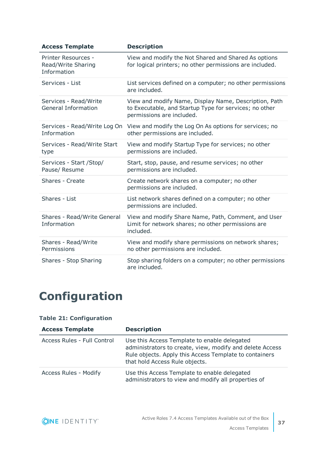| <b>Access Template</b>                                   | <b>Description</b>                                                                                                                           |
|----------------------------------------------------------|----------------------------------------------------------------------------------------------------------------------------------------------|
| Printer Resources -<br>Read/Write Sharing<br>Information | View and modify the Not Shared and Shared As options<br>for logical printers; no other permissions are included.                             |
| Services - List                                          | List services defined on a computer; no other permissions<br>are included.                                                                   |
| Services - Read/Write<br><b>General Information</b>      | View and modify Name, Display Name, Description, Path<br>to Executable, and Startup Type for services; no other<br>permissions are included. |
| Services - Read/Write Log On<br>Information              | View and modify the Log On As options for services; no<br>other permissions are included.                                                    |
| Services - Read/Write Start<br>type                      | View and modify Startup Type for services; no other<br>permissions are included.                                                             |
| Services - Start / Stop/<br>Pause/ Resume                | Start, stop, pause, and resume services; no other<br>permissions are included.                                                               |
| Shares - Create                                          | Create network shares on a computer; no other<br>permissions are included.                                                                   |
| Shares - List                                            | List network shares defined on a computer; no other<br>permissions are included.                                                             |
| Shares - Read/Write General<br>Information               | View and modify Share Name, Path, Comment, and User<br>Limit for network shares; no other permissions are<br>included.                       |
| Shares - Read/Write<br>Permissions                       | View and modify share permissions on network shares;<br>no other permissions are included.                                                   |
| Shares - Stop Sharing                                    | Stop sharing folders on a computer; no other permissions<br>are included.                                                                    |

# <span id="page-36-0"></span>**Configuration**

#### **Table 21: Configuration**

| <b>Access Template</b>      | <b>Description</b>                                                                                                                                                                                   |
|-----------------------------|------------------------------------------------------------------------------------------------------------------------------------------------------------------------------------------------------|
| Access Rules - Full Control | Use this Access Template to enable delegated<br>administrators to create, view, modify and delete Access<br>Rule objects. Apply this Access Template to containers<br>that hold Access Rule objects. |
| Access Rules - Modify       | Use this Access Template to enable delegated<br>administrators to view and modify all properties of                                                                                                  |

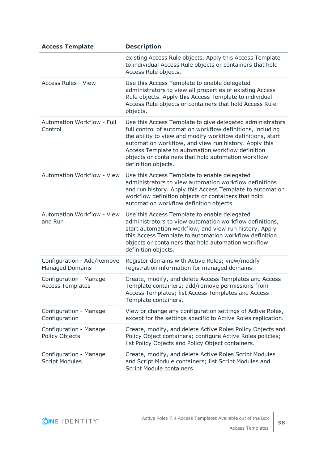| <b>Access Template</b>                               | <b>Description</b>                                                                                                                                                                                                                                                                                                                                                                |
|------------------------------------------------------|-----------------------------------------------------------------------------------------------------------------------------------------------------------------------------------------------------------------------------------------------------------------------------------------------------------------------------------------------------------------------------------|
|                                                      | existing Access Rule objects. Apply this Access Template<br>to individual Access Rule objects or containers that hold<br>Access Rule objects.                                                                                                                                                                                                                                     |
| <b>Access Rules - View</b>                           | Use this Access Template to enable delegated<br>administrators to view all properties of existing Access<br>Rule objects. Apply this Access Template to individual<br>Access Rule objects or containers that hold Access Rule<br>objects.                                                                                                                                         |
| Automation Workflow - Full<br>Control                | Use this Access Template to give delegated administrators<br>full control of automation workflow definitions, including<br>the ability to view and modify workflow definitions, start<br>automation workflow, and view run history. Apply this<br>Access Template to automation workflow definition<br>objects or containers that hold automation workflow<br>definition objects. |
| <b>Automation Workflow - View</b>                    | Use this Access Template to enable delegated<br>administrators to view automation workflow definitions<br>and run history. Apply this Access Template to automation<br>workflow definition objects or containers that hold<br>automation workflow definition objects.                                                                                                             |
| Automation Workflow - View<br>and Run                | Use this Access Template to enable delegated<br>administrators to view automation workflow definitions,<br>start automation workflow, and view run history. Apply<br>this Access Template to automation workflow definition<br>objects or containers that hold automation workflow<br>definition objects.                                                                         |
| Configuration - Add/Remove<br><b>Managed Domains</b> | Register domains with Active Roles; view/modify<br>registration information for managed domains.                                                                                                                                                                                                                                                                                  |
| Configuration - Manage<br><b>Access Templates</b>    | Create, modify, and delete Access Templates and Access<br>Template containers; add/remove permissions from<br>Access Templates; list Access Templates and Access<br>Template containers.                                                                                                                                                                                          |
| Configuration - Manage<br>Configuration              | View or change any configuration settings of Active Roles,<br>except for the settings specific to Active Roles replication.                                                                                                                                                                                                                                                       |
| Configuration - Manage<br>Policy Objects             | Create, modify, and delete Active Roles Policy Objects and<br>Policy Object containers; configure Active Roles policies;<br>list Policy Objects and Policy Object containers.                                                                                                                                                                                                     |
| Configuration - Manage<br><b>Script Modules</b>      | Create, modify, and delete Active Roles Script Modules<br>and Script Module containers; list Script Modules and<br>Script Module containers.                                                                                                                                                                                                                                      |

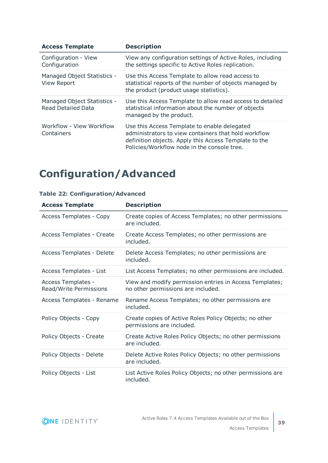| <b>Access Template</b>                                   | <b>Description</b>                                                                                                                                                                                           |
|----------------------------------------------------------|--------------------------------------------------------------------------------------------------------------------------------------------------------------------------------------------------------------|
| Configuration - View<br>Configuration                    | View any configuration settings of Active Roles, including<br>the settings specific to Active Roles replication.                                                                                             |
| Managed Object Statistics -<br><b>View Report</b>        | Use this Access Template to allow read access to<br>statistical reports of the number of objects managed by<br>the product (product usage statistics).                                                       |
| Managed Object Statistics -<br><b>Read Detailed Data</b> | Use this Access Template to allow read access to detailed<br>statistical information about the number of objects<br>managed by the product.                                                                  |
| Workflow - View Workflow<br>Containers                   | Use this Access Template to enable delegated<br>administrators to view containers that hold workflow<br>definition objects. Apply this Access Template to the<br>Policies/Workflow node in the console tree. |

## <span id="page-38-0"></span>**Configuration/Advanced**

|  |  | <b>Table 22: Configuration/Advanced</b> |
|--|--|-----------------------------------------|
|  |  |                                         |

| <b>Access Template</b>                       | <b>Description</b>                                                                            |
|----------------------------------------------|-----------------------------------------------------------------------------------------------|
| <b>Access Templates - Copy</b>               | Create copies of Access Templates; no other permissions<br>are included.                      |
| Access Templates - Create                    | Create Access Templates; no other permissions are<br>included.                                |
| Access Templates - Delete                    | Delete Access Templates; no other permissions are<br>included.                                |
| Access Templates - List                      | List Access Templates; no other permissions are included.                                     |
| Access Templates -<br>Read/Write Permissions | View and modify permission entries in Access Templates;<br>no other permissions are included. |
| Access Templates - Rename                    | Rename Access Templates; no other permissions are<br>included.                                |
| Policy Objects - Copy                        | Create copies of Active Roles Policy Objects; no other<br>permissions are included.           |
| Policy Objects - Create                      | Create Active Roles Policy Objects; no other permissions<br>are included.                     |
| Policy Objects - Delete                      | Delete Active Roles Policy Objects; no other permissions<br>are included.                     |
| Policy Objects - List                        | List Active Roles Policy Objects; no other permissions are<br>included.                       |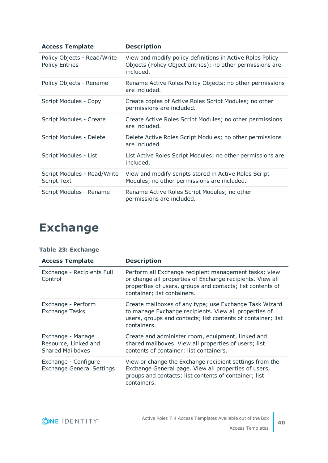| <b>Access Template</b>                               | <b>Description</b>                                                                                                                  |
|------------------------------------------------------|-------------------------------------------------------------------------------------------------------------------------------------|
| Policy Objects - Read/Write<br><b>Policy Entries</b> | View and modify policy definitions in Active Roles Policy<br>Objects (Policy Object entries); no other permissions are<br>included. |
| Policy Objects - Rename                              | Rename Active Roles Policy Objects; no other permissions<br>are included.                                                           |
| Script Modules - Copy                                | Create copies of Active Roles Script Modules; no other<br>permissions are included.                                                 |
| Script Modules - Create                              | Create Active Roles Script Modules; no other permissions<br>are included.                                                           |
| Script Modules - Delete                              | Delete Active Roles Script Modules; no other permissions<br>are included.                                                           |
| Script Modules - List                                | List Active Roles Script Modules; no other permissions are<br>included.                                                             |
| Script Modules - Read/Write<br><b>Script Text</b>    | View and modify scripts stored in Active Roles Script<br>Modules; no other permissions are included.                                |
| Script Modules - Rename                              | Rename Active Roles Script Modules; no other<br>permissions are included.                                                           |

# <span id="page-39-0"></span>**Exchange**

| <b>Access Template</b>                                               | <b>Description</b>                                                                                                                                                                                              |
|----------------------------------------------------------------------|-----------------------------------------------------------------------------------------------------------------------------------------------------------------------------------------------------------------|
| Exchange - Recipients Full<br>Control                                | Perform all Exchange recipient management tasks; view<br>or change all properties of Exchange recipients. View all<br>properties of users, groups and contacts; list contents of<br>container; list containers. |
| Exchange - Perform<br><b>Exchange Tasks</b>                          | Create mailboxes of any type; use Exchange Task Wizard<br>to manage Exchange recipients. View all properties of<br>users, groups and contacts; list contents of container; list<br>containers.                  |
| Exchange - Manage<br>Resource, Linked and<br><b>Shared Mailboxes</b> | Create and administer room, equipment, linked and<br>shared mailboxes. View all properties of users; list<br>contents of container; list containers.                                                            |
| Exchange - Configure<br><b>Exchange General Settings</b>             | View or change the Exchange recipient settings from the<br>Exchange General page. View all properties of users,<br>groups and contacts; list contents of container; list<br>containers.                         |

#### **Table 23: Exchange**

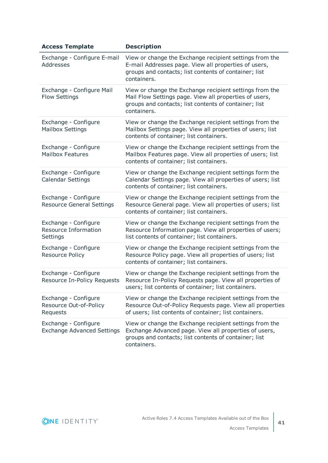| <b>Access Template</b>                                          | <b>Description</b>                                                                                                                                                                        |
|-----------------------------------------------------------------|-------------------------------------------------------------------------------------------------------------------------------------------------------------------------------------------|
| Exchange - Configure E-mail<br>Addresses                        | View or change the Exchange recipient settings from the<br>E-mail Addresses page. View all properties of users,<br>groups and contacts; list contents of container; list<br>containers.   |
| Exchange - Configure Mail<br><b>Flow Settings</b>               | View or change the Exchange recipient settings from the<br>Mail Flow Settings page. View all properties of users,<br>groups and contacts; list contents of container; list<br>containers. |
| Exchange - Configure<br><b>Mailbox Settings</b>                 | View or change the Exchange recipient settings from the<br>Mailbox Settings page. View all properties of users; list<br>contents of container; list containers.                           |
| Exchange - Configure<br><b>Mailbox Features</b>                 | View or change the Exchange recipient settings from the<br>Mailbox Features page. View all properties of users; list<br>contents of container; list containers.                           |
| Exchange - Configure<br><b>Calendar Settings</b>                | View or change the Exchange recipient settings form the<br>Calendar Settings page. View all properties of users; list<br>contents of container; list containers.                          |
| Exchange - Configure<br><b>Resource General Settings</b>        | View or change the Exchange recipient settings from the<br>Resource General page. View all properties of users; list<br>contents of container; list containers.                           |
| Exchange - Configure<br><b>Resource Information</b><br>Settings | View or change the Exchange recipient settings from the<br>Resource Information page. View all properties of users;<br>list contents of container; list containers.                       |
| Exchange - Configure<br><b>Resource Policy</b>                  | View or change the Exchange recipient settings from the<br>Resource Policy page. View all properties of users; list<br>contents of container; list containers.                            |
| Exchange - Configure<br>Resource In-Policy Requests             | View or change the Exchange recipient settings from the<br>Resource In-Policy Requests page. View all properties of<br>users; list contents of container; list containers.                |
| Exchange - Configure<br>Resource Out-of-Policy<br>Requests      | View or change the Exchange recipient settings from the<br>Resource Out-of-Policy Requests page. View all properties<br>of users; list contents of container; list containers.            |
| Exchange - Configure<br><b>Exchange Advanced Settings</b>       | View or change the Exchange recipient settings from the<br>Exchange Advanced page. View all properties of users,<br>groups and contacts; list contents of container; list<br>containers.  |

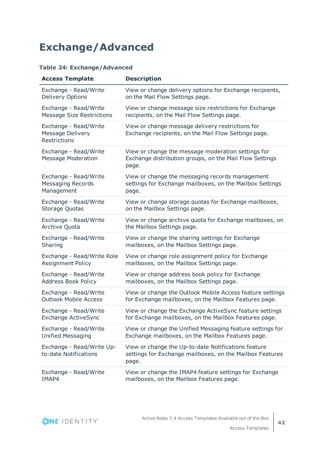### <span id="page-41-0"></span>**Exchange/Advanced**

#### **Table 24: Exchange/Advanced**

| <b>Access Template</b>                                    | <b>Description</b>                                                                                                       |
|-----------------------------------------------------------|--------------------------------------------------------------------------------------------------------------------------|
| Exchange - Read/Write                                     | View or change delivery options for Exchange recipients,                                                                 |
| Delivery Options                                          | on the Mail Flow Settings page.                                                                                          |
| Exchange - Read/Write                                     | View or change message size restrictions for Exchange                                                                    |
| <b>Message Size Restrictions</b>                          | recipients, on the Mail Flow Settings page.                                                                              |
| Exchange - Read/Write<br>Message Delivery<br>Restrictions | View or change message delivery restrictions for<br>Exchange recipients, on the Mail Flow Settings page.                 |
| Exchange - Read/Write<br><b>Message Moderation</b>        | View or change the message moderation settings for<br>Exchange distribution groups, on the Mail Flow Settings<br>page.   |
| Exchange - Read/Write                                     | View or change the messaging records management                                                                          |
| <b>Messaging Records</b>                                  | settings for Exchange mailboxes, on the Mailbox Settings                                                                 |
| Management                                                | page.                                                                                                                    |
| Exchange - Read/Write                                     | View or change storage quotas for Exchange mailboxes,                                                                    |
| Storage Quotas                                            | on the Mailbox Settings page.                                                                                            |
| Exchange - Read/Write                                     | View or change archive quota for Exchange mailboxes, on                                                                  |
| Archive Quota                                             | the Mailbox Settings page.                                                                                               |
| Exchange - Read/Write                                     | View or change the sharing settings for Exchange                                                                         |
| Sharing                                                   | mailboxes, on the Mailbox Settings page.                                                                                 |
| Exchange - Read/Write Role                                | View or change role assignment policy for Exchange                                                                       |
| <b>Assignment Policy</b>                                  | mailboxes, on the Mailbox Settings page.                                                                                 |
| Exchange - Read/Write                                     | View or change address book policy for Exchange                                                                          |
| <b>Address Book Policy</b>                                | mailboxes, on the Mailbox Settings page.                                                                                 |
| Exchange - Read/Write                                     | View or change the Outlook Mobile Access feature settings                                                                |
| <b>Outlook Mobile Access</b>                              | for Exchange mailboxes, on the Mailbox Features page.                                                                    |
| Exchange - Read/Write                                     | View or change the Exchange ActiveSync feature settings                                                                  |
| <b>Exchange ActiveSync</b>                                | for Exchange mailboxes, on the Mailbox Features page.                                                                    |
| Exchange - Read/Write                                     | View or change the Unified Messaging feature settings for                                                                |
| <b>Unified Messaging</b>                                  | Exchange mailboxes, on the Mailbox Features page.                                                                        |
| Exchange - Read/Write Up-<br>to-date Notifications        | View or change the Up-to-date Notifications feature<br>settings for Exchange mailboxes, on the Mailbox Features<br>page. |
| Exchange - Read/Write                                     | View or change the IMAP4 feature settings for Exchange                                                                   |
| IMAP4                                                     | mailboxes, on the Mailbox Features page.                                                                                 |

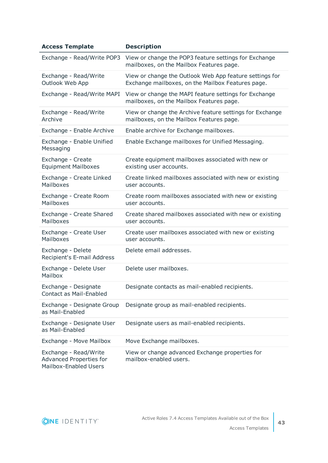| <b>Access Template</b>                                                           | <b>Description</b>                                                                                           |
|----------------------------------------------------------------------------------|--------------------------------------------------------------------------------------------------------------|
| Exchange - Read/Write POP3                                                       | View or change the POP3 feature settings for Exchange<br>mailboxes, on the Mailbox Features page.            |
| Exchange - Read/Write<br>Outlook Web App                                         | View or change the Outlook Web App feature settings for<br>Exchange mailboxes, on the Mailbox Features page. |
| Exchange - Read/Write MAPI                                                       | View or change the MAPI feature settings for Exchange<br>mailboxes, on the Mailbox Features page.            |
| Exchange - Read/Write<br>Archive                                                 | View or change the Archive feature settings for Exchange<br>mailboxes, on the Mailbox Features page.         |
| Exchange - Enable Archive                                                        | Enable archive for Exchange mailboxes.                                                                       |
| Exchange - Enable Unified<br>Messaging                                           | Enable Exchange mailboxes for Unified Messaging.                                                             |
| Exchange - Create<br><b>Equipment Mailboxes</b>                                  | Create equipment mailboxes associated with new or<br>existing user accounts.                                 |
| Exchange - Create Linked<br>Mailboxes                                            | Create linked mailboxes associated with new or existing<br>user accounts.                                    |
| Exchange - Create Room<br>Mailboxes                                              | Create room mailboxes associated with new or existing<br>user accounts.                                      |
| Exchange - Create Shared<br>Mailboxes                                            | Create shared mailboxes associated with new or existing<br>user accounts.                                    |
| Exchange - Create User<br>Mailboxes                                              | Create user mailboxes associated with new or existing<br>user accounts.                                      |
| Exchange - Delete<br>Recipient's E-mail Address                                  | Delete email addresses.                                                                                      |
| Exchange - Delete User<br>Mailbox                                                | Delete user mailboxes.                                                                                       |
| Exchange - Designate<br><b>Contact as Mail-Enabled</b>                           | Designate contacts as mail-enabled recipients.                                                               |
| Exchange - Designate Group<br>as Mail-Enabled                                    | Designate group as mail-enabled recipients.                                                                  |
| Exchange - Designate User<br>as Mail-Enabled                                     | Designate users as mail-enabled recipients.                                                                  |
| Exchange - Move Mailbox                                                          | Move Exchange mailboxes.                                                                                     |
| Exchange - Read/Write<br><b>Advanced Properties for</b><br>Mailbox-Enabled Users | View or change advanced Exchange properties for<br>mailbox-enabled users.                                    |

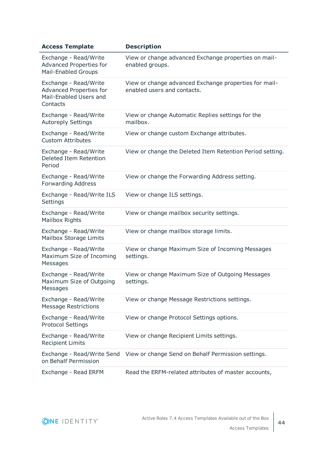| <b>Access Template</b>                                                                        | <b>Description</b>                                                                   |
|-----------------------------------------------------------------------------------------------|--------------------------------------------------------------------------------------|
| Exchange - Read/Write<br><b>Advanced Properties for</b><br><b>Mail-Enabled Groups</b>         | View or change advanced Exchange properties on mail-<br>enabled groups.              |
| Exchange - Read/Write<br><b>Advanced Properties for</b><br>Mail-Enabled Users and<br>Contacts | View or change advanced Exchange properties for mail-<br>enabled users and contacts. |
| Exchange - Read/Write<br><b>Autoreply Settings</b>                                            | View or change Automatic Replies settings for the<br>mailbox.                        |
| Exchange - Read/Write<br><b>Custom Attributes</b>                                             | View or change custom Exchange attributes.                                           |
| Exchange - Read/Write<br>Deleted Item Retention<br>Period                                     | View or change the Deleted Item Retention Period setting.                            |
| Exchange - Read/Write<br><b>Forwarding Address</b>                                            | View or change the Forwarding Address setting.                                       |
| Exchange - Read/Write ILS<br>Settings                                                         | View or change ILS settings.                                                         |
| Exchange - Read/Write<br>Mailbox Rights                                                       | View or change mailbox security settings.                                            |
| Exchange - Read/Write<br>Mailbox Storage Limits                                               | View or change mailbox storage limits.                                               |
| Exchange - Read/Write<br>Maximum Size of Incoming<br>Messages                                 | View or change Maximum Size of Incoming Messages<br>settings.                        |
| Exchange - Read/Write<br>Maximum Size of Outgoing<br>Messages                                 | View or change Maximum Size of Outgoing Messages<br>settings.                        |
| Exchange - Read/Write<br><b>Message Restrictions</b>                                          | View or change Message Restrictions settings.                                        |
| Exchange - Read/Write<br><b>Protocol Settings</b>                                             | View or change Protocol Settings options.                                            |
| Exchange - Read/Write<br><b>Recipient Limits</b>                                              | View or change Recipient Limits settings.                                            |
| Exchange - Read/Write Send<br>on Behalf Permission                                            | View or change Send on Behalf Permission settings.                                   |
| Exchange - Read ERFM                                                                          | Read the ERFM-related attributes of master accounts,                                 |

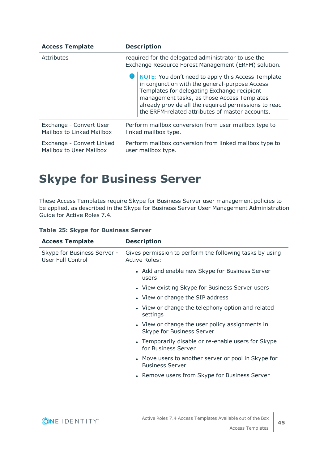| <b>Access Template</b>                               | <b>Description</b>                                                                                                                                                                                                                                                                                                       |  |
|------------------------------------------------------|--------------------------------------------------------------------------------------------------------------------------------------------------------------------------------------------------------------------------------------------------------------------------------------------------------------------------|--|
| <b>Attributes</b>                                    | required for the delegated administrator to use the<br>Exchange Resource Forest Management (ERFM) solution.                                                                                                                                                                                                              |  |
|                                                      | <b>O</b>   NOTE: You don't need to apply this Access Template<br>in conjunction with the general-purpose Access<br>Templates for delegating Exchange recipient<br>management tasks, as those Access Templates<br>already provide all the required permissions to read<br>the ERFM-related attributes of master accounts. |  |
| Exchange - Convert User<br>Mailbox to Linked Mailbox | Perform mailbox conversion from user mailbox type to<br>linked mailbox type.                                                                                                                                                                                                                                             |  |
| Exchange - Convert Linked<br>Mailbox to User Mailbox | Perform mailbox conversion from linked mailbox type to<br>user mailbox type.                                                                                                                                                                                                                                             |  |

### <span id="page-44-0"></span>**Skype for Business Server**

These Access Templates require Skype for Business Server user management policies to be applied, as described in the Skype for Business Server User Management Administration Guide for Active Roles 7.4.

|  |  |  |  | <b>Table 25: Skype for Business Server</b> |  |
|--|--|--|--|--------------------------------------------|--|
|--|--|--|--|--------------------------------------------|--|

| <b>Access Template</b>                           | <b>Description</b>                                                               |
|--------------------------------------------------|----------------------------------------------------------------------------------|
| Skype for Business Server -<br>User Full Control | Gives permission to perform the following tasks by using<br><b>Active Roles:</b> |
|                                                  | • Add and enable new Skype for Business Server<br>users                          |
|                                                  | • View existing Skype for Business Server users                                  |
|                                                  | • View or change the SIP address                                                 |
|                                                  | • View or change the telephony option and related<br>settings                    |
|                                                  | • View or change the user policy assignments in<br>Skype for Business Server     |
|                                                  | • Temporarily disable or re-enable users for Skype<br>for Business Server        |
|                                                  | • Move users to another server or pool in Skype for<br><b>Business Server</b>    |
|                                                  | • Remove users from Skype for Business Server                                    |

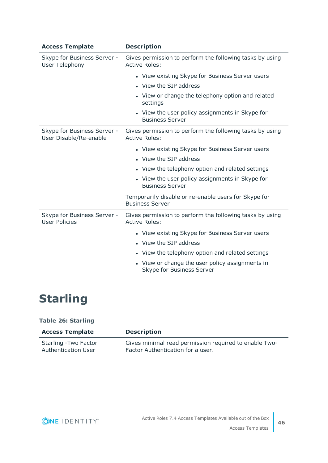| <b>Access Template</b>                                | <b>Description</b>                                                               |
|-------------------------------------------------------|----------------------------------------------------------------------------------|
| Skype for Business Server -<br><b>User Telephony</b>  | Gives permission to perform the following tasks by using<br><b>Active Roles:</b> |
|                                                       | • View existing Skype for Business Server users                                  |
|                                                       | • View the SIP address                                                           |
|                                                       | • View or change the telephony option and related<br>settings                    |
|                                                       | • View the user policy assignments in Skype for<br><b>Business Server</b>        |
| Skype for Business Server -<br>User Disable/Re-enable | Gives permission to perform the following tasks by using<br><b>Active Roles:</b> |
|                                                       | • View existing Skype for Business Server users                                  |
|                                                       | • View the SIP address                                                           |
|                                                       | • View the telephony option and related settings                                 |
|                                                       | • View the user policy assignments in Skype for<br><b>Business Server</b>        |
|                                                       | Temporarily disable or re-enable users for Skype for<br><b>Business Server</b>   |
| Skype for Business Server -<br><b>User Policies</b>   | Gives permission to perform the following tasks by using<br><b>Active Roles:</b> |
|                                                       | • View existing Skype for Business Server users                                  |
|                                                       | • View the SIP address                                                           |
|                                                       | • View the telephony option and related settings                                 |
|                                                       | • View or change the user policy assignments in<br>Skype for Business Server     |

# <span id="page-45-0"></span>**Starling**

#### **Table 26: Starling**

| <b>Access Template</b> | <b>Description</b>                                    |
|------------------------|-------------------------------------------------------|
| Starling - Two Factor  | Gives minimal read permission required to enable Two- |
| Authentication User    | Factor Authentication for a user.                     |

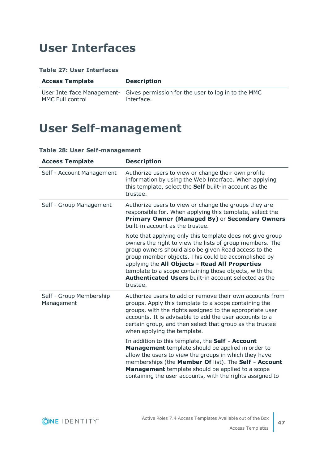### <span id="page-46-0"></span>**User Interfaces**

#### **Table 27: User Interfaces**

| <b>Access Template</b> |  |
|------------------------|--|
|------------------------|--|

MMC Full control

User Interface Management-Gives permission for the user to log in to the MMC interface.

**Description** 

# <span id="page-46-1"></span>**User Self-management**

### **Table 28: User Self-management**

| <b>Access Template</b>                | <b>Description</b>                                                                                                                                                                                                                                                                                                                                                                                                          |
|---------------------------------------|-----------------------------------------------------------------------------------------------------------------------------------------------------------------------------------------------------------------------------------------------------------------------------------------------------------------------------------------------------------------------------------------------------------------------------|
| Self - Account Management             | Authorize users to view or change their own profile<br>information by using the Web Interface. When applying<br>this template, select the Self built-in account as the<br>trustee.                                                                                                                                                                                                                                          |
| Self - Group Management               | Authorize users to view or change the groups they are<br>responsible for. When applying this template, select the<br>Primary Owner (Managed By) or Secondary Owners<br>built-in account as the trustee.                                                                                                                                                                                                                     |
|                                       | Note that applying only this template does not give group<br>owners the right to view the lists of group members. The<br>group owners should also be given Read access to the<br>group member objects. This could be accomplished by<br>applying the All Objects - Read All Properties<br>template to a scope containing those objects, with the<br><b>Authenticated Users built-in account selected as the</b><br>trustee. |
| Self - Group Membership<br>Management | Authorize users to add or remove their own accounts from<br>groups. Apply this template to a scope containing the<br>groups, with the rights assigned to the appropriate user<br>accounts. It is advisable to add the user accounts to a<br>certain group, and then select that group as the trustee<br>when applying the template.                                                                                         |
|                                       | In addition to this template, the Self - Account<br>Management template should be applied in order to<br>allow the users to view the groups in which they have<br>memberships (the Member Of list). The Self - Account<br>Management template should be applied to a scope<br>containing the user accounts, with the rights assigned to                                                                                     |

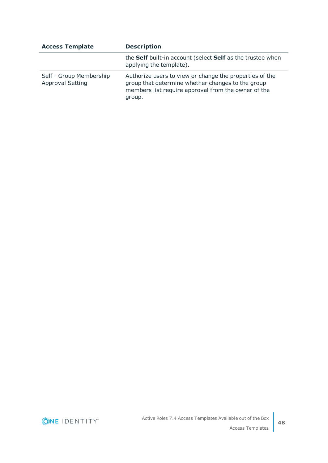| <b>Access Template</b>                             | <b>Description</b>                                                                                                                                                            |
|----------------------------------------------------|-------------------------------------------------------------------------------------------------------------------------------------------------------------------------------|
|                                                    | the Self built-in account (select Self as the trustee when<br>applying the template).                                                                                         |
| Self - Group Membership<br><b>Approval Setting</b> | Authorize users to view or change the properties of the<br>group that determine whether changes to the group<br>members list require approval from the owner of the<br>group. |